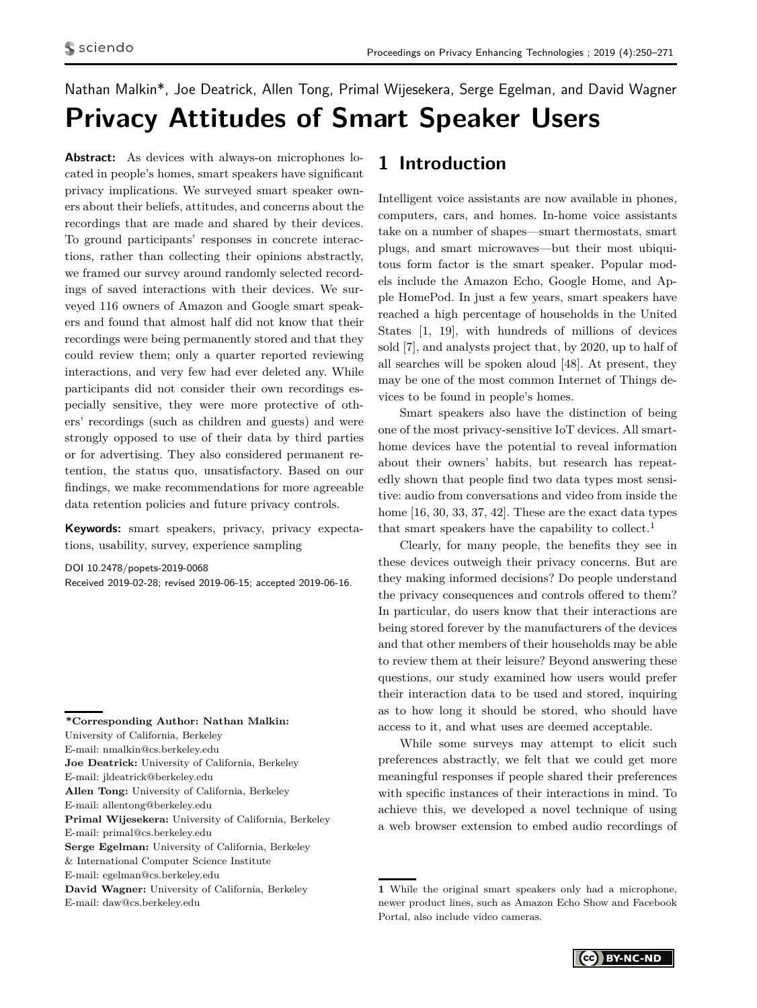# <span id="page-0-0"></span>Nathan Malkin\*, Joe Deatrick, Allen Tong, Primal Wijesekera, Serge Egelman, and David Wagner **Privacy Attitudes of Smart Speaker Users**

**Abstract:** As devices with always-on microphones located in people's homes, smart speakers have significant privacy implications. We surveyed smart speaker owners about their beliefs, attitudes, and concerns about the recordings that are made and shared by their devices. To ground participants' responses in concrete interactions, rather than collecting their opinions abstractly, we framed our survey around randomly selected recordings of saved interactions with their devices. We surveyed 116 owners of Amazon and Google smart speakers and found that almost half did not know that their recordings were being permanently stored and that they could review them; only a quarter reported reviewing interactions, and very few had ever deleted any. While participants did not consider their own recordings especially sensitive, they were more protective of others' recordings (such as children and guests) and were strongly opposed to use of their data by third parties or for advertising. They also considered permanent retention, the status quo, unsatisfactory. Based on our findings, we make recommendations for more agreeable data retention policies and future privacy controls.

**Keywords:** smart speakers, privacy, privacy expectations, usability, survey, experience sampling

DOI 10.2478/popets-2019-0068 Received 2019-02-28; revised 2019-06-15; accepted 2019-06-16.

**\*Corresponding Author: Nathan Malkin:** University of California, Berkeley E-mail: nmalkin@cs.berkeley.edu **Joe Deatrick:** University of California, Berkeley E-mail: jldeatrick@berkeley.edu **Allen Tong:** University of California, Berkeley E-mail: allentong@berkeley.edu **Primal Wijesekera:** University of California, Berkeley E-mail: primal@cs.berkeley.edu **Serge Egelman:** University of California, Berkeley & International Computer Science Institute E-mail: egelman@cs.berkeley.edu **David Wagner:** University of California, Berkeley E-mail: daw@cs.berkeley.edu

# **1 Introduction**

Intelligent voice assistants are now available in phones, computers, cars, and homes. In-home voice assistants take on a number of shapes—smart thermostats, smart plugs, and smart microwaves—but their most ubiquitous form factor is the smart speaker. Popular models include the Amazon Echo, Google Home, and Apple HomePod. In just a few years, smart speakers have reached a high percentage of households in the United States [\[1,](#page-16-0) [19\]](#page-16-1), with hundreds of millions of devices sold [\[7\]](#page-16-2), and analysts project that, by 2020, up to half of all searches will be spoken aloud [\[48\]](#page-17-0). At present, they may be one of the most common Internet of Things devices to be found in people's homes.

Smart speakers also have the distinction of being one of the most privacy-sensitive IoT devices. All smarthome devices have the potential to reveal information about their owners' habits, but research has repeatedly shown that people find two data types most sensitive: audio from conversations and video from inside the home [\[16,](#page-16-3) [30,](#page-17-1) [33,](#page-17-2) [37,](#page-17-3) [42\]](#page-17-4). These are the exact data types that smart speakers have the capability to collect.<sup>1</sup>

Clearly, for many people, the benefits they see in these devices outweigh their privacy concerns. But are they making informed decisions? Do people understand the privacy consequences and controls offered to them? In particular, do users know that their interactions are being stored forever by the manufacturers of the devices and that other members of their households may be able to review them at their leisure? Beyond answering these questions, our study examined how users would prefer their interaction data to be used and stored, inquiring as to how long it should be stored, who should have access to it, and what uses are deemed acceptable.

While some surveys may attempt to elicit such preferences abstractly, we felt that we could get more meaningful responses if people shared their preferences with specific instances of their interactions in mind. To achieve this, we developed a novel technique of using a web browser extension to embed audio recordings of

**<sup>1</sup>** While the original smart speakers only had a microphone, newer product lines, such as Amazon Echo Show and Facebook Portal, also include video cameras.

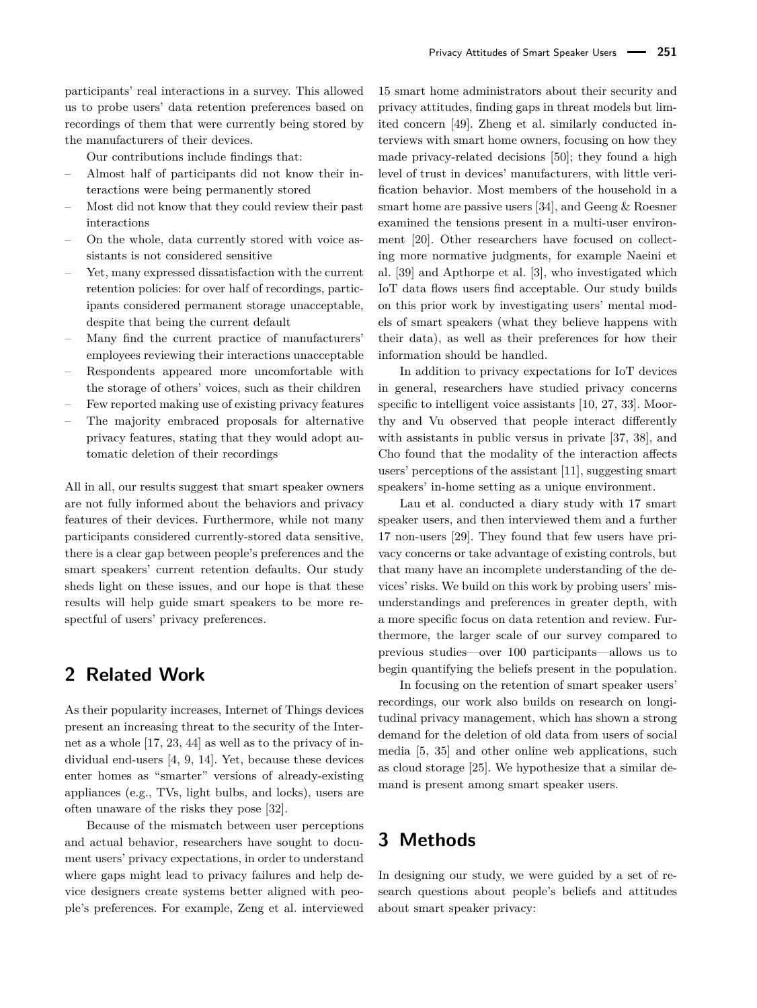participants' real interactions in a survey. This allowed us to probe users' data retention preferences based on recordings of them that were currently being stored by the manufacturers of their devices.

Our contributions include findings that:

- Almost half of participants did not know their interactions were being permanently stored
- Most did not know that they could review their past interactions
- On the whole, data currently stored with voice assistants is not considered sensitive
- Yet, many expressed dissatisfaction with the current retention policies: for over half of recordings, participants considered permanent storage unacceptable, despite that being the current default
- Many find the current practice of manufacturers' employees reviewing their interactions unacceptable
- Respondents appeared more uncomfortable with the storage of others' voices, such as their children
- Few reported making use of existing privacy features
- The majority embraced proposals for alternative privacy features, stating that they would adopt automatic deletion of their recordings

All in all, our results suggest that smart speaker owners are not fully informed about the behaviors and privacy features of their devices. Furthermore, while not many participants considered currently-stored data sensitive, there is a clear gap between people's preferences and the smart speakers' current retention defaults. Our study sheds light on these issues, and our hope is that these results will help guide smart speakers to be more respectful of users' privacy preferences.

# **2 Related Work**

As their popularity increases, Internet of Things devices present an increasing threat to the security of the Internet as a whole [\[17,](#page-16-4) [23,](#page-16-5) [44\]](#page-17-5) as well as to the privacy of individual end-users [\[4,](#page-16-6) [9,](#page-16-7) [14\]](#page-16-8). Yet, because these devices enter homes as "smarter" versions of already-existing appliances (e.g., TVs, light bulbs, and locks), users are often unaware of the risks they pose [\[32\]](#page-17-6).

Because of the mismatch between user perceptions and actual behavior, researchers have sought to document users' privacy expectations, in order to understand where gaps might lead to privacy failures and help device designers create systems better aligned with people's preferences. For example, Zeng et al. interviewed 15 smart home administrators about their security and privacy attitudes, finding gaps in threat models but limited concern [\[49\]](#page-17-7). Zheng et al. similarly conducted interviews with smart home owners, focusing on how they made privacy-related decisions [\[50\]](#page-17-8); they found a high level of trust in devices' manufacturers, with little verification behavior. Most members of the household in a smart home are passive users [\[34\]](#page-17-9), and Geeng & Roesner examined the tensions present in a multi-user environment [\[20\]](#page-16-9). Other researchers have focused on collecting more normative judgments, for example Naeini et al. [\[39\]](#page-17-10) and Apthorpe et al. [\[3\]](#page-16-10), who investigated which IoT data flows users find acceptable. Our study builds on this prior work by investigating users' mental models of smart speakers (what they believe happens with their data), as well as their preferences for how their information should be handled.

In addition to privacy expectations for IoT devices in general, researchers have studied privacy concerns specific to intelligent voice assistants [\[10,](#page-16-11) [27,](#page-16-12) [33\]](#page-17-2). Moorthy and Vu observed that people interact differently with assistants in public versus in private [\[37,](#page-17-3) [38\]](#page-17-11), and Cho found that the modality of the interaction affects users' perceptions of the assistant [\[11\]](#page-16-13), suggesting smart speakers' in-home setting as a unique environment.

Lau et al. conducted a diary study with 17 smart speaker users, and then interviewed them and a further 17 non-users [\[29\]](#page-17-12). They found that few users have privacy concerns or take advantage of existing controls, but that many have an incomplete understanding of the devices' risks. We build on this work by probing users' misunderstandings and preferences in greater depth, with a more specific focus on data retention and review. Furthermore, the larger scale of our survey compared to previous studies—over 100 participants—allows us to begin quantifying the beliefs present in the population.

In focusing on the retention of smart speaker users' recordings, our work also builds on research on longitudinal privacy management, which has shown a strong demand for the deletion of old data from users of social media [\[5,](#page-16-14) [35\]](#page-17-13) and other online web applications, such as cloud storage [\[25\]](#page-16-15). We hypothesize that a similar demand is present among smart speaker users.

# **3 Methods**

In designing our study, we were guided by a set of research questions about people's beliefs and attitudes about smart speaker privacy: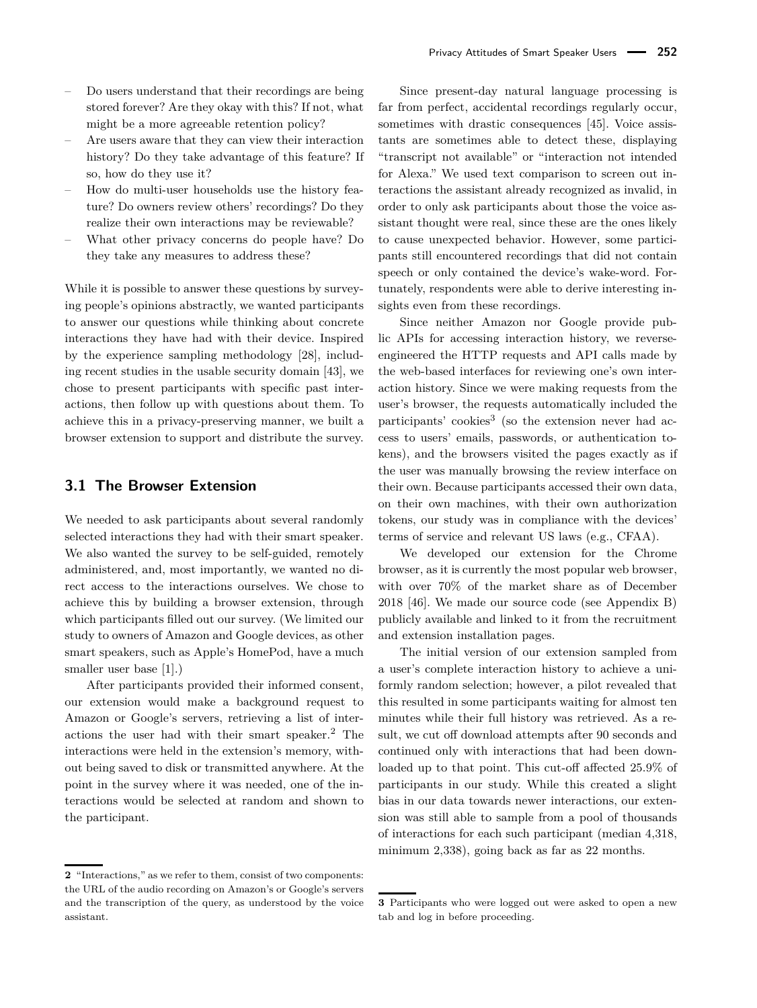- Do users understand that their recordings are being stored forever? Are they okay with this? If not, what might be a more agreeable retention policy?
- Are users aware that they can view their interaction history? Do they take advantage of this feature? If so, how do they use it?
- How do multi-user households use the history feature? Do owners review others' recordings? Do they realize their own interactions may be reviewable?
- What other privacy concerns do people have? Do they take any measures to address these?

While it is possible to answer these questions by surveying people's opinions abstractly, we wanted participants to answer our questions while thinking about concrete interactions they have had with their device. Inspired by the experience sampling methodology [\[28\]](#page-16-16), including recent studies in the usable security domain [\[43\]](#page-17-14), we chose to present participants with specific past interactions, then follow up with questions about them. To achieve this in a privacy-preserving manner, we built a browser extension to support and distribute the survey.

### <span id="page-2-0"></span>**3.1 The Browser Extension**

We needed to ask participants about several randomly selected interactions they had with their smart speaker. We also wanted the survey to be self-guided, remotely administered, and, most importantly, we wanted no direct access to the interactions ourselves. We chose to achieve this by building a browser extension, through which participants filled out our survey. (We limited our study to owners of Amazon and Google devices, as other smart speakers, such as Apple's HomePod, have a much smaller user base [\[1\]](#page-16-0).)

After participants provided their informed consent, our extension would make a background request to Amazon or Google's servers, retrieving a list of interactions the user had with their smart speaker.[2](#page-0-0) The interactions were held in the extension's memory, without being saved to disk or transmitted anywhere. At the point in the survey where it was needed, one of the interactions would be selected at random and shown to the participant.

Since present-day natural language processing is far from perfect, accidental recordings regularly occur, sometimes with drastic consequences [\[45\]](#page-17-15). Voice assistants are sometimes able to detect these, displaying "transcript not available" or "interaction not intended for Alexa." We used text comparison to screen out interactions the assistant already recognized as invalid, in order to only ask participants about those the voice assistant thought were real, since these are the ones likely to cause unexpected behavior. However, some participants still encountered recordings that did not contain speech or only contained the device's wake-word. Fortunately, respondents were able to derive interesting insights even from these recordings.

Since neither Amazon nor Google provide public APIs for accessing interaction history, we reverseengineered the HTTP requests and API calls made by the web-based interfaces for reviewing one's own interaction history. Since we were making requests from the user's browser, the requests automatically included the participants' cookies<sup>[3](#page-0-0)</sup> (so the extension never had access to users' emails, passwords, or authentication tokens), and the browsers visited the pages exactly as if the user was manually browsing the review interface on their own. Because participants accessed their own data, on their own machines, with their own authorization tokens, our study was in compliance with the devices' terms of service and relevant US laws (e.g., CFAA).

We developed our extension for the Chrome browser, as it is currently the most popular web browser, with over 70% of the market share as of December 2018 [\[46\]](#page-17-16). We made our source code (see Appendix [B\)](#page-18-0) publicly available and linked to it from the recruitment and extension installation pages.

The initial version of our extension sampled from a user's complete interaction history to achieve a uniformly random selection; however, a pilot revealed that this resulted in some participants waiting for almost ten minutes while their full history was retrieved. As a result, we cut off download attempts after 90 seconds and continued only with interactions that had been downloaded up to that point. This cut-off affected 25.9% of participants in our study. While this created a slight bias in our data towards newer interactions, our extension was still able to sample from a pool of thousands of interactions for each such participant (median 4,318, minimum 2,338), going back as far as 22 months.

**<sup>2</sup>** "Interactions," as we refer to them, consist of two components: the URL of the audio recording on Amazon's or Google's servers and the transcription of the query, as understood by the voice assistant.

**<sup>3</sup>** Participants who were logged out were asked to open a new tab and log in before proceeding.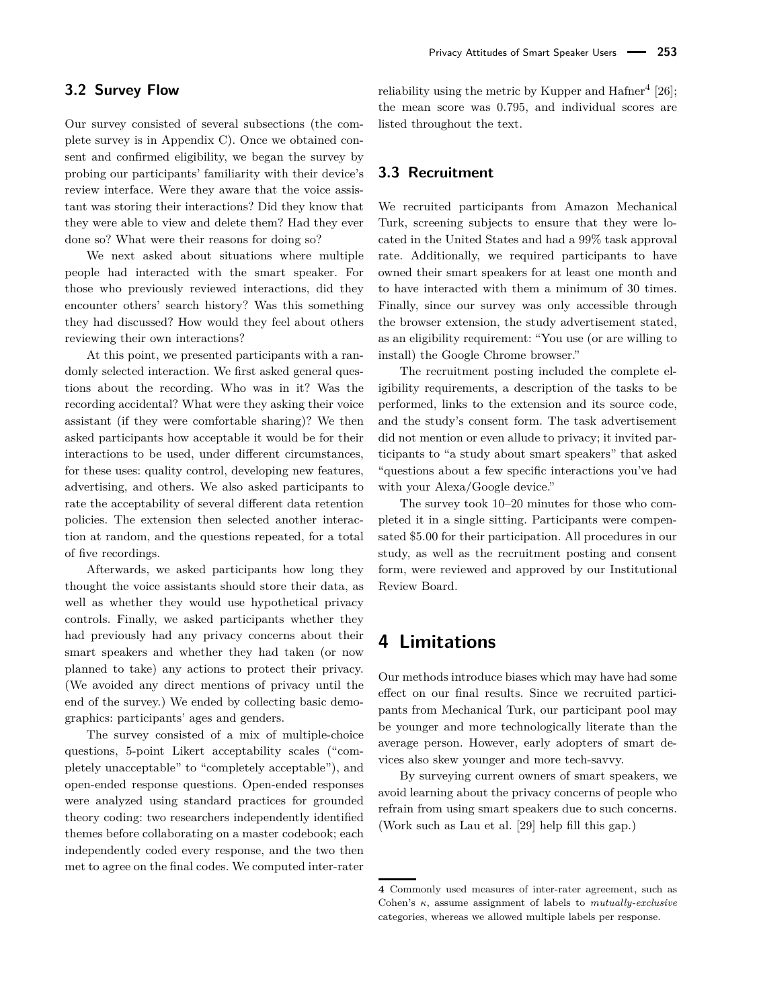### **3.2 Survey Flow**

Our survey consisted of several subsections (the complete survey is in Appendix [C\)](#page-18-1). Once we obtained consent and confirmed eligibility, we began the survey by probing our participants' familiarity with their device's review interface. Were they aware that the voice assistant was storing their interactions? Did they know that they were able to view and delete them? Had they ever done so? What were their reasons for doing so?

We next asked about situations where multiple people had interacted with the smart speaker. For those who previously reviewed interactions, did they encounter others' search history? Was this something they had discussed? How would they feel about others reviewing their own interactions?

At this point, we presented participants with a randomly selected interaction. We first asked general questions about the recording. Who was in it? Was the recording accidental? What were they asking their voice assistant (if they were comfortable sharing)? We then asked participants how acceptable it would be for their interactions to be used, under different circumstances, for these uses: quality control, developing new features, advertising, and others. We also asked participants to rate the acceptability of several different data retention policies. The extension then selected another interaction at random, and the questions repeated, for a total of five recordings.

Afterwards, we asked participants how long they thought the voice assistants should store their data, as well as whether they would use hypothetical privacy controls. Finally, we asked participants whether they had previously had any privacy concerns about their smart speakers and whether they had taken (or now planned to take) any actions to protect their privacy. (We avoided any direct mentions of privacy until the end of the survey.) We ended by collecting basic demographics: participants' ages and genders.

The survey consisted of a mix of multiple-choice questions, 5-point Likert acceptability scales ("completely unacceptable" to "completely acceptable"), and open-ended response questions. Open-ended responses were analyzed using standard practices for grounded theory coding: two researchers independently identified themes before collaborating on a master codebook; each independently coded every response, and the two then met to agree on the final codes. We computed inter-rater

reliability using the metric by Kupper and Hafner<sup>[4](#page-0-0)</sup>  $[26]$ ; the mean score was 0.795, and individual scores are listed throughout the text.

# **3.3 Recruitment**

We recruited participants from Amazon Mechanical Turk, screening subjects to ensure that they were located in the United States and had a 99% task approval rate. Additionally, we required participants to have owned their smart speakers for at least one month and to have interacted with them a minimum of 30 times. Finally, since our survey was only accessible through the browser extension, the study advertisement stated, as an eligibility requirement: "You use (or are willing to install) the Google Chrome browser."

The recruitment posting included the complete eligibility requirements, a description of the tasks to be performed, links to the extension and its source code, and the study's consent form. The task advertisement did not mention or even allude to privacy; it invited participants to "a study about smart speakers" that asked "questions about a few specific interactions you've had with your Alexa/Google device."

The survey took 10–20 minutes for those who completed it in a single sitting. Participants were compensated \$5.00 for their participation. All procedures in our study, as well as the recruitment posting and consent form, were reviewed and approved by our Institutional Review Board.

# **4 Limitations**

Our methods introduce biases which may have had some effect on our final results. Since we recruited participants from Mechanical Turk, our participant pool may be younger and more technologically literate than the average person. However, early adopters of smart devices also skew younger and more tech-savvy.

By surveying current owners of smart speakers, we avoid learning about the privacy concerns of people who refrain from using smart speakers due to such concerns. (Work such as Lau et al. [\[29\]](#page-17-12) help fill this gap.)

**<sup>4</sup>** Commonly used measures of inter-rater agreement, such as Cohen's *κ*, assume assignment of labels to *mutually-exclusive* categories, whereas we allowed multiple labels per response.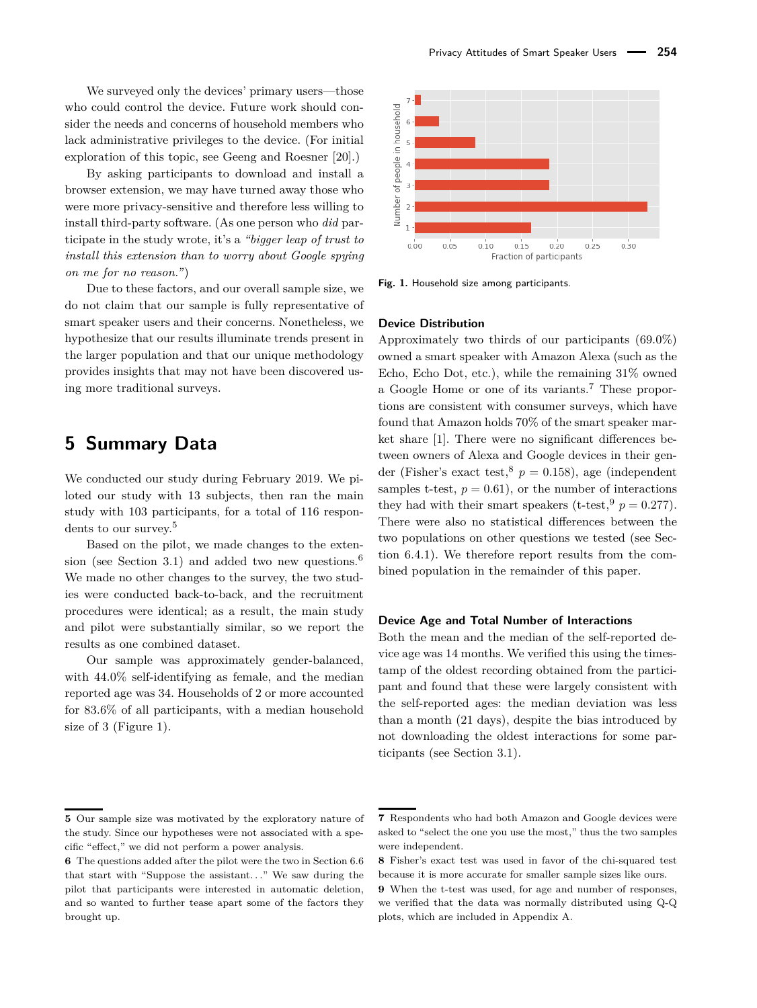We surveyed only the devices' primary users—those who could control the device. Future work should consider the needs and concerns of household members who lack administrative privileges to the device. (For initial exploration of this topic, see Geeng and Roesner [\[20\]](#page-16-9).)

By asking participants to download and install a browser extension, we may have turned away those who were more privacy-sensitive and therefore less willing to install third-party software. (As one person who *did* participate in the study wrote, it's a *"bigger leap of trust to install this extension than to worry about Google spying on me for no reason."*)

Due to these factors, and our overall sample size, we do not claim that our sample is fully representative of smart speaker users and their concerns. Nonetheless, we hypothesize that our results illuminate trends present in the larger population and that our unique methodology provides insights that may not have been discovered using more traditional surveys.

# **5 Summary Data**

We conducted our study during February 2019. We piloted our study with 13 subjects, then ran the main study with 103 participants, for a total of 116 respondents to our survey.[5](#page-0-0)

Based on the pilot, we made changes to the exten-sion (see Section [3.1\)](#page-2-0) and added two new questions.<sup>[6](#page-0-0)</sup> We made no other changes to the survey, the two studies were conducted back-to-back, and the recruitment procedures were identical; as a result, the main study and pilot were substantially similar, so we report the results as one combined dataset.

Our sample was approximately gender-balanced, with 44.0% self-identifying as female, and the median reported age was 34. Households of 2 or more accounted for 83.6% of all participants, with a median household size of 3 (Figure [1\)](#page-4-0).

<span id="page-4-0"></span>

**Fig. 1.** Household size among participants.

#### **Device Distribution**

Approximately two thirds of our participants (69.0%) owned a smart speaker with Amazon Alexa (such as the Echo, Echo Dot, etc.), while the remaining 31% owned a Google Home or one of its variants.<sup>[7](#page-0-0)</sup> These proportions are consistent with consumer surveys, which have found that Amazon holds 70% of the smart speaker market share [\[1\]](#page-16-0). There were no significant differences between owners of Alexa and Google devices in their gender (Fisher's exact test,  $p = 0.158$  $p = 0.158$ ), age (independent samples t-test,  $p = 0.61$ , or the number of interactions they had with their smart speakers (t-test,  $p = 0.277$ ). There were also no statistical differences between the two populations on other questions we tested (see Section [6.4.1\)](#page-9-0). We therefore report results from the combined population in the remainder of this paper.

#### **Device Age and Total Number of Interactions**

Both the mean and the median of the self-reported device age was 14 months. We verified this using the timestamp of the oldest recording obtained from the participant and found that these were largely consistent with the self-reported ages: the median deviation was less than a month (21 days), despite the bias introduced by not downloading the oldest interactions for some participants (see Section [3.1\)](#page-2-0).

**<sup>5</sup>** Our sample size was motivated by the exploratory nature of the study. Since our hypotheses were not associated with a specific "effect," we did not perform a power analysis.

**<sup>6</sup>** The questions added after the pilot were the two in Section [6.6](#page-12-0) that start with "Suppose the assistant*. . .*" We saw during the pilot that participants were interested in automatic deletion, and so wanted to further tease apart some of the factors they brought up.

**<sup>7</sup>** Respondents who had both Amazon and Google devices were asked to "select the one you use the most," thus the two samples were independent.

**<sup>8</sup>** Fisher's exact test was used in favor of the chi-squared test because it is more accurate for smaller sample sizes like ours.

**<sup>9</sup>** When the t-test was used, for age and number of responses, we verified that the data was normally distributed using Q-Q plots, which are included in Appendix [A.](#page-17-17)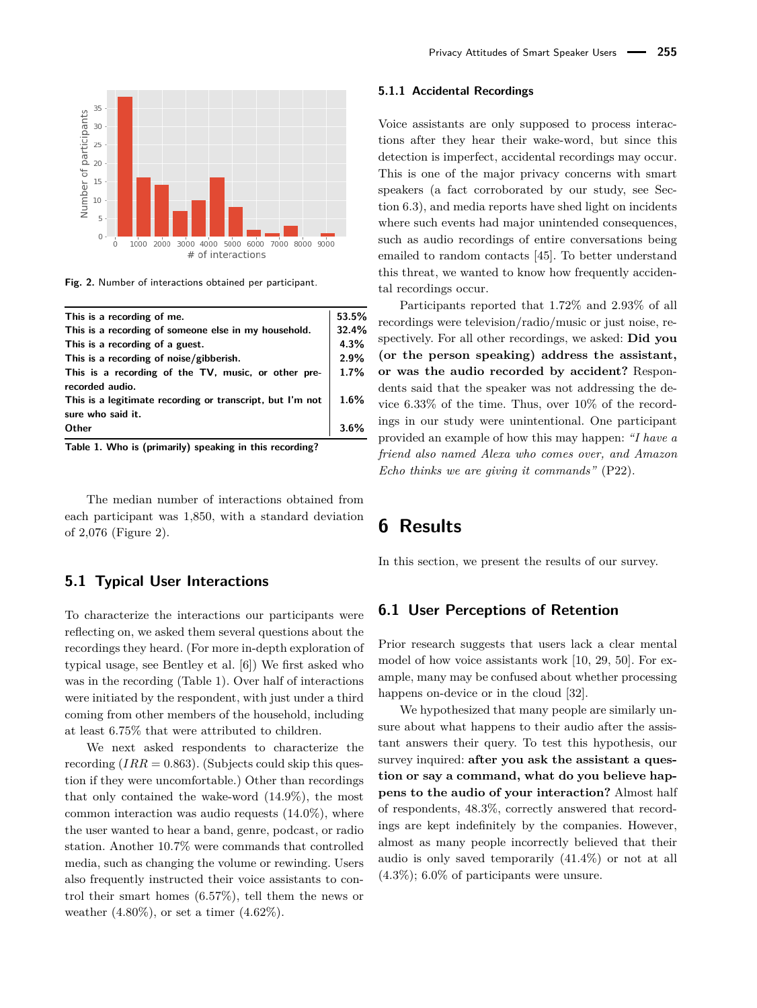<span id="page-5-0"></span>

**Fig. 2.** Number of interactions obtained per participant.

<span id="page-5-1"></span>

| This is a recording of me.                                                     | 53.5% |
|--------------------------------------------------------------------------------|-------|
| This is a recording of someone else in my household.                           | 32.4% |
| This is a recording of a guest.                                                | 4.3%  |
| This is a recording of noise/gibberish.                                        | 2.9%  |
| This is a recording of the TV, music, or other pre-                            | 1.7%  |
| recorded audio.                                                                |       |
| This is a legitimate recording or transcript, but I'm not<br>sure who said it. | 1.6%  |
| Other                                                                          |       |

**Table 1. Who is (primarily) speaking in this recording?**

The median number of interactions obtained from each participant was 1,850, with a standard deviation of 2,076 (Figure [2\)](#page-5-0).

### **5.1 Typical User Interactions**

To characterize the interactions our participants were reflecting on, we asked them several questions about the recordings they heard. (For more in-depth exploration of typical usage, see Bentley et al. [\[6\]](#page-16-18)) We first asked who was in the recording (Table [1\)](#page-5-1). Over half of interactions were initiated by the respondent, with just under a third coming from other members of the household, including at least 6.75% that were attributed to children.

We next asked respondents to characterize the recording  $(IRR = 0.863)$ . (Subjects could skip this question if they were uncomfortable.) Other than recordings that only contained the wake-word (14.9%), the most common interaction was audio requests (14.0%), where the user wanted to hear a band, genre, podcast, or radio station. Another 10.7% were commands that controlled media, such as changing the volume or rewinding. Users also frequently instructed their voice assistants to control their smart homes (6.57%), tell them the news or weather  $(4.80\%)$ , or set a timer  $(4.62\%)$ .

#### **5.1.1 Accidental Recordings**

Voice assistants are only supposed to process interactions after they hear their wake-word, but since this detection is imperfect, accidental recordings may occur. This is one of the major privacy concerns with smart speakers (a fact corroborated by our study, see Section [6.3\)](#page-7-0), and media reports have shed light on incidents where such events had major unintended consequences, such as audio recordings of entire conversations being emailed to random contacts [\[45\]](#page-17-15). To better understand this threat, we wanted to know how frequently accidental recordings occur.

Participants reported that 1.72% and 2.93% of all recordings were television/radio/music or just noise, respectively. For all other recordings, we asked: **Did you (or the person speaking) address the assistant, or was the audio recorded by accident?** Respondents said that the speaker was not addressing the device 6.33% of the time. Thus, over 10% of the recordings in our study were unintentional. One participant provided an example of how this may happen: *"I have a friend also named Alexa who comes over, and Amazon Echo thinks we are giving it commands"* (P22).

# **6 Results**

In this section, we present the results of our survey.

### **6.1 User Perceptions of Retention**

Prior research suggests that users lack a clear mental model of how voice assistants work [\[10,](#page-16-11) [29,](#page-17-12) [50\]](#page-17-8). For example, many may be confused about whether processing happens on-device or in the cloud [\[32\]](#page-17-6).

We hypothesized that many people are similarly unsure about what happens to their audio after the assistant answers their query. To test this hypothesis, our survey inquired: **after you ask the assistant a question or say a command, what do you believe happens to the audio of your interaction?** Almost half of respondents, 48.3%, correctly answered that recordings are kept indefinitely by the companies. However, almost as many people incorrectly believed that their audio is only saved temporarily (41.4%) or not at all (4.3%); 6.0% of participants were unsure.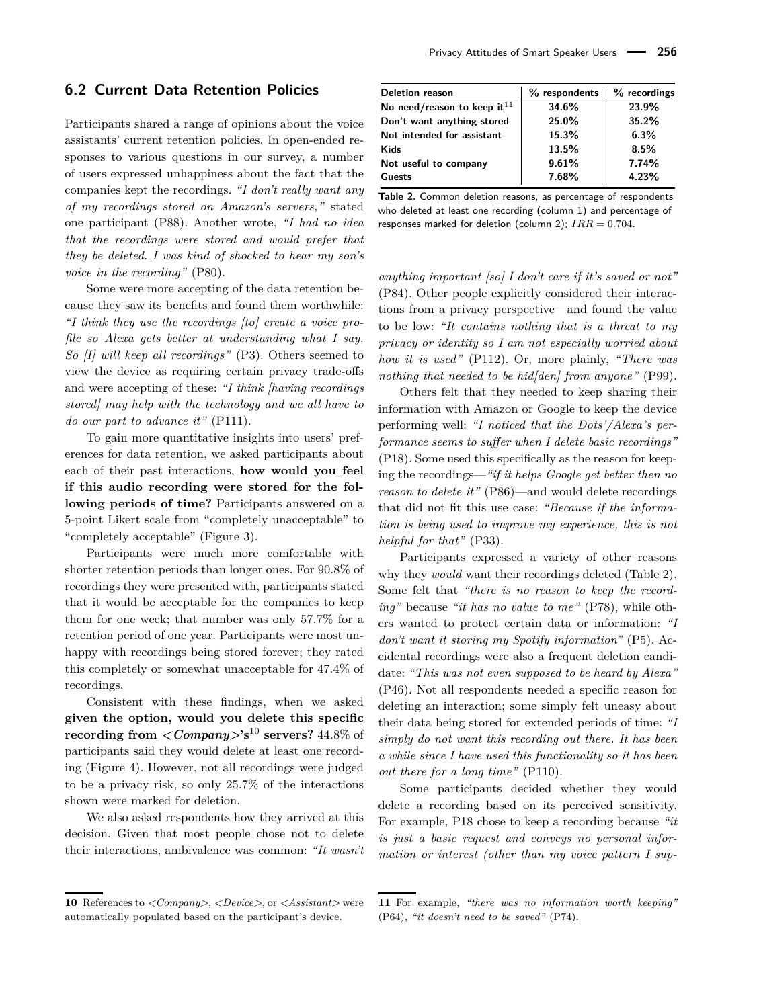### <span id="page-6-1"></span>**6.2 Current Data Retention Policies**

Participants shared a range of opinions about the voice assistants' current retention policies. In open-ended responses to various questions in our survey, a number of users expressed unhappiness about the fact that the companies kept the recordings. *"I don't really want any of my recordings stored on Amazon's servers,"* stated one participant (P88). Another wrote, *"I had no idea that the recordings were stored and would prefer that they be deleted. I was kind of shocked to hear my son's voice in the recording"* (P80).

Some were more accepting of the data retention because they saw its benefits and found them worthwhile: *"I think they use the recordings [to] create a voice profile so Alexa gets better at understanding what I say. So [I] will keep all recordings"* (P3). Others seemed to view the device as requiring certain privacy trade-offs and were accepting of these: *"I think [having recordings stored] may help with the technology and we all have to do our part to advance it"* (P111).

To gain more quantitative insights into users' preferences for data retention, we asked participants about each of their past interactions, **how would you feel if this audio recording were stored for the following periods of time?** Participants answered on a 5-point Likert scale from "completely unacceptable" to "completely acceptable" (Figure [3\)](#page-7-1).

Participants were much more comfortable with shorter retention periods than longer ones. For 90.8% of recordings they were presented with, participants stated that it would be acceptable for the companies to keep them for one week; that number was only 57.7% for a retention period of one year. Participants were most unhappy with recordings being stored forever; they rated this completely or somewhat unacceptable for 47.4% of recordings.

Consistent with these findings, when we asked **given the option, would you delete this specific recording from**  $\langle Company \rangle$ <sup>'s</sup><sup>[10](#page-0-0)</sup> **servers?** 44.8% of participants said they would delete at least one recording (Figure [4\)](#page-7-2). However, not all recordings were judged to be a privacy risk, so only 25.7% of the interactions shown were marked for deletion.

We also asked respondents how they arrived at this decision. Given that most people chose not to delete their interactions, ambivalence was common: *"It wasn't*

<span id="page-6-0"></span>

| <b>Deletion reason</b>            | % respondents | % recordings |
|-----------------------------------|---------------|--------------|
| No need/reason to keep it $^{11}$ | 34.6%         | 23.9%        |
| Don't want anything stored        | 25.0%         | 35.2%        |
| Not intended for assistant        | 15.3%         | 6.3%         |
| <b>Kids</b>                       | 13.5%         | 8.5%         |
| Not useful to company             | 9.61%         | 7.74%        |
| Guests                            | 7.68%         | 4.23%        |

**Table 2.** Common deletion reasons, as percentage of respondents who deleted at least one recording (column 1) and percentage of responses marked for deletion (column 2); *IRR* = 0*.*704.

*anything important [so] I don't care if it's saved or not"* (P84). Other people explicitly considered their interactions from a privacy perspective—and found the value to be low: *"It contains nothing that is a threat to my privacy or identity so I am not especially worried about how it is used"* (P112). Or, more plainly, *"There was nothing that needed to be hid[den] from anyone"* (P99).

Others felt that they needed to keep sharing their information with Amazon or Google to keep the device performing well: *"I noticed that the Dots'/Alexa's performance seems to suffer when I delete basic recordings"* (P18). Some used this specifically as the reason for keeping the recordings—*"if it helps Google get better then no reason to delete it"* (P86)—and would delete recordings that did not fit this use case: *"Because if the information is being used to improve my experience, this is not helpful for that"* (P33).

Participants expressed a variety of other reasons why they *would* want their recordings deleted (Table [2\)](#page-6-0). Some felt that *"there is no reason to keep the recording"* because *"it has no value to me"* (P78), while others wanted to protect certain data or information: *"I don't want it storing my Spotify information"* (P5). Accidental recordings were also a frequent deletion candidate: *"This was not even supposed to be heard by Alexa"* (P46). Not all respondents needed a specific reason for deleting an interaction; some simply felt uneasy about their data being stored for extended periods of time: *"I simply do not want this recording out there. It has been a while since I have used this functionality so it has been out there for a long time"* (P110).

Some participants decided whether they would delete a recording based on its perceived sensitivity. For example, P18 chose to keep a recording because *"it is just a basic request and conveys no personal information or interest (other than my voice pattern I sup-*

**<sup>10</sup>** References to *<Company>*, *<Device>*, or *<Assistant>* were automatically populated based on the participant's device.

**<sup>11</sup>** For example, *"there was no information worth keeping"* (P64), *"it doesn't need to be saved"* (P74).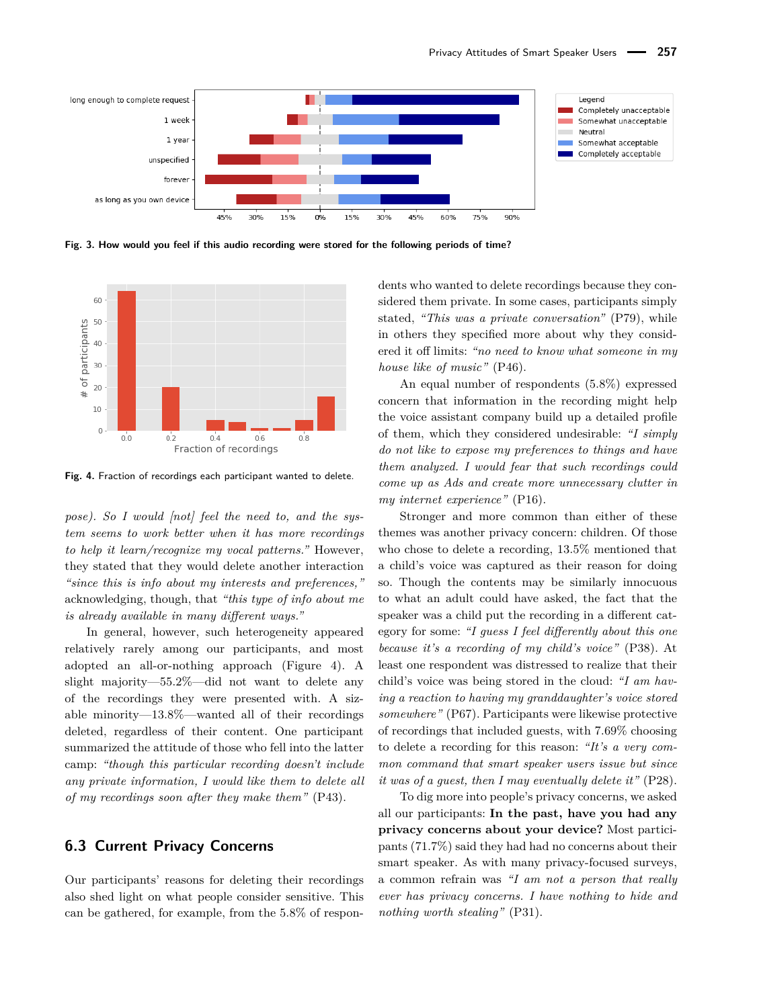<span id="page-7-1"></span>

**Fig. 3. How would you feel if this audio recording were stored for the following periods of time?**

<span id="page-7-2"></span>

**Fig. 4.** Fraction of recordings each participant wanted to delete.

*pose). So I would [not] feel the need to, and the system seems to work better when it has more recordings to help it learn/recognize my vocal patterns."* However, they stated that they would delete another interaction *"since this is info about my interests and preferences,"* acknowledging, though, that *"this type of info about me is already available in many different ways."*

In general, however, such heterogeneity appeared relatively rarely among our participants, and most adopted an all-or-nothing approach (Figure [4\)](#page-7-2). A slight majority—55.2%—did not want to delete any of the recordings they were presented with. A sizable minority—13.8%—wanted all of their recordings deleted, regardless of their content. One participant summarized the attitude of those who fell into the latter camp: *"though this particular recording doesn't include any private information, I would like them to delete all of my recordings soon after they make them"* (P43).

### <span id="page-7-0"></span>**6.3 Current Privacy Concerns**

Our participants' reasons for deleting their recordings also shed light on what people consider sensitive. This can be gathered, for example, from the 5.8% of respon-

dents who wanted to delete recordings because they considered them private. In some cases, participants simply stated, *"This was a private conversation"* (P79), while in others they specified more about why they considered it off limits: *"no need to know what someone in my house like of music"* (P46).

An equal number of respondents (5.8%) expressed concern that information in the recording might help the voice assistant company build up a detailed profile of them, which they considered undesirable: *"I simply do not like to expose my preferences to things and have them analyzed. I would fear that such recordings could come up as Ads and create more unnecessary clutter in my internet experience"* (P16).

Stronger and more common than either of these themes was another privacy concern: children. Of those who chose to delete a recording, 13.5% mentioned that a child's voice was captured as their reason for doing so. Though the contents may be similarly innocuous to what an adult could have asked, the fact that the speaker was a child put the recording in a different category for some: *"I guess I feel differently about this one because it's a recording of my child's voice"* (P38). At least one respondent was distressed to realize that their child's voice was being stored in the cloud: *"I am having a reaction to having my granddaughter's voice stored somewhere"* (P67). Participants were likewise protective of recordings that included guests, with 7.69% choosing to delete a recording for this reason: *"It's a very common command that smart speaker users issue but since it was of a guest, then I may eventually delete it"* (P28).

To dig more into people's privacy concerns, we asked all our participants: **In the past, have you had any privacy concerns about your device?** Most participants (71.7%) said they had had no concerns about their smart speaker. As with many privacy-focused surveys, a common refrain was *"I am not a person that really ever has privacy concerns. I have nothing to hide and nothing worth stealing"* (P31).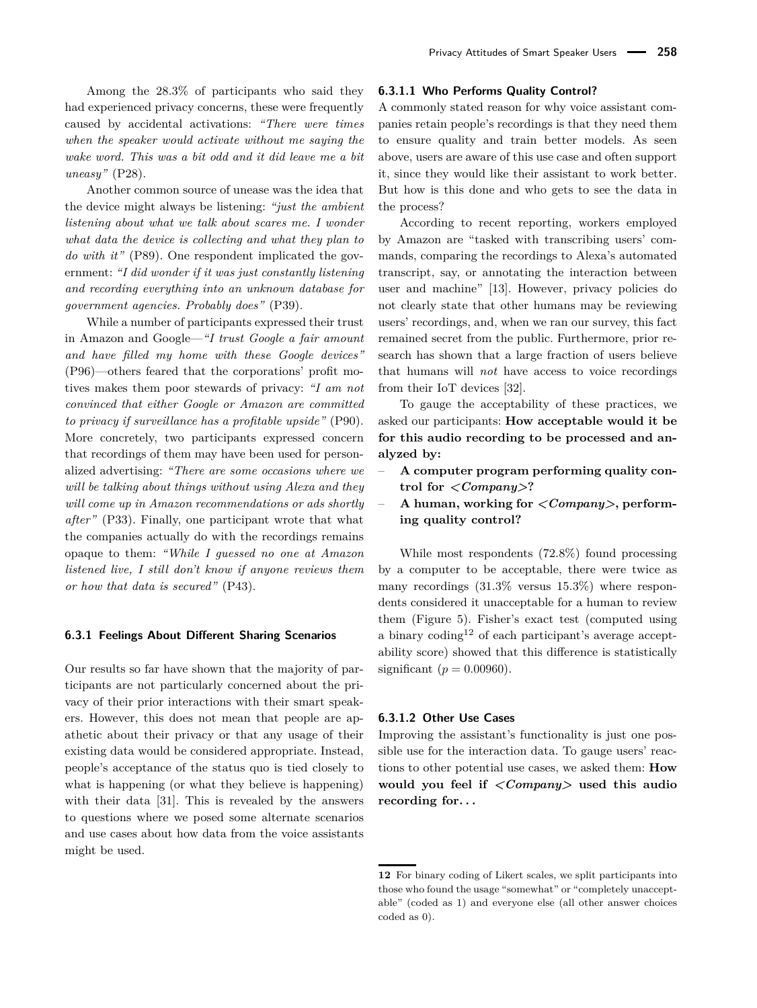Among the 28.3% of participants who said they had experienced privacy concerns, these were frequently caused by accidental activations: *"There were times when the speaker would activate without me saying the wake word. This was a bit odd and it did leave me a bit uneasy"* (P28).

Another common source of unease was the idea that the device might always be listening: *"just the ambient listening about what we talk about scares me. I wonder what data the device is collecting and what they plan to do with it"* (P89). One respondent implicated the government: *"I did wonder if it was just constantly listening and recording everything into an unknown database for government agencies. Probably does"* (P39).

While a number of participants expressed their trust in Amazon and Google—*"I trust Google a fair amount and have filled my home with these Google devices"* (P96)—others feared that the corporations' profit motives makes them poor stewards of privacy: *"I am not convinced that either Google or Amazon are committed to privacy if surveillance has a profitable upside"* (P90). More concretely, two participants expressed concern that recordings of them may have been used for personalized advertising: *"There are some occasions where we will be talking about things without using Alexa and they will come up in Amazon recommendations or ads shortly after"* (P33). Finally, one participant wrote that what the companies actually do with the recordings remains opaque to them: *"While I guessed no one at Amazon listened live, I still don't know if anyone reviews them or how that data is secured"* (P43).

#### **6.3.1 Feelings About Different Sharing Scenarios**

Our results so far have shown that the majority of participants are not particularly concerned about the privacy of their prior interactions with their smart speakers. However, this does not mean that people are apathetic about their privacy or that any usage of their existing data would be considered appropriate. Instead, people's acceptance of the status quo is tied closely to what is happening (or what they believe is happening) with their data [\[31\]](#page-17-18). This is revealed by the answers to questions where we posed some alternate scenarios and use cases about how data from the voice assistants might be used.

#### **6.3.1.1 Who Performs Quality Control?**

A commonly stated reason for why voice assistant companies retain people's recordings is that they need them to ensure quality and train better models. As seen above, users are aware of this use case and often support it, since they would like their assistant to work better. But how is this done and who gets to see the data in the process?

According to recent reporting, workers employed by Amazon are "tasked with transcribing users' commands, comparing the recordings to Alexa's automated transcript, say, or annotating the interaction between user and machine" [\[13\]](#page-16-19). However, privacy policies do not clearly state that other humans may be reviewing users' recordings, and, when we ran our survey, this fact remained secret from the public. Furthermore, prior research has shown that a large fraction of users believe that humans will *not* have access to voice recordings from their IoT devices [\[32\]](#page-17-6).

To gauge the acceptability of these practices, we asked our participants: **How acceptable would it be for this audio recording to be processed and analyzed by:**

- **A computer program performing quality control for** *<Company>***?**
- **A human, working for** *<Company>***, performing quality control?**

While most respondents (72.8%) found processing by a computer to be acceptable, there were twice as many recordings (31.3% versus 15.3%) where respondents considered it unacceptable for a human to review them (Figure [5\)](#page-9-1). Fisher's exact test (computed using a binary coding<sup>[12](#page-0-0)</sup> of each participant's average acceptability score) showed that this difference is statistically significant ( $p = 0.00960$ ).

#### **6.3.1.2 Other Use Cases**

Improving the assistant's functionality is just one possible use for the interaction data. To gauge users' reactions to other potential use cases, we asked them: **How would you feel if** *<Company>* **used this audio recording for. . .**

**<sup>12</sup>** For binary coding of Likert scales, we split participants into those who found the usage "somewhat" or "completely unacceptable" (coded as 1) and everyone else (all other answer choices coded as 0).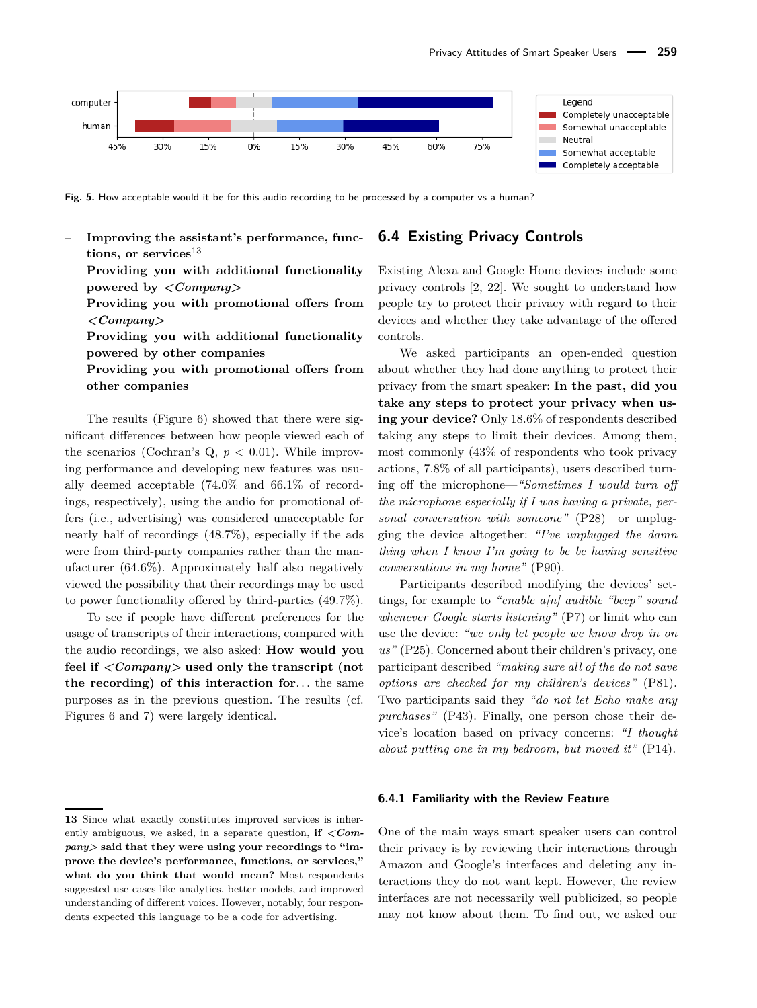<span id="page-9-1"></span>

Fig. 5. How acceptable would it be for this audio recording to be processed by a computer vs a human?

- Improving the assistant's performance, func**tions, or services**[13](#page-0-0)
- **Providing you with additional functionality powered by** *<Company>*
- **Providing you with promotional offers from** *<Company>*
- **Providing you with additional functionality powered by other companies**
- **Providing you with promotional offers from other companies**

The results (Figure [6\)](#page-10-0) showed that there were significant differences between how people viewed each of the scenarios (Cochran's Q, *p <* 0*.*01). While improving performance and developing new features was usually deemed acceptable (74.0% and 66.1% of recordings, respectively), using the audio for promotional offers (i.e., advertising) was considered unacceptable for nearly half of recordings (48.7%), especially if the ads were from third-party companies rather than the manufacturer (64.6%). Approximately half also negatively viewed the possibility that their recordings may be used to power functionality offered by third-parties (49.7%).

To see if people have different preferences for the usage of transcripts of their interactions, compared with the audio recordings, we also asked: **How would you feel if** *<Company>* **used only the transcript (not the recording) of this interaction for***. . .* the same purposes as in the previous question. The results (cf. Figures [6](#page-10-0) and [7\)](#page-10-1) were largely identical.

### **6.4 Existing Privacy Controls**

Existing Alexa and Google Home devices include some privacy controls [\[2,](#page-16-20) [22\]](#page-16-21). We sought to understand how people try to protect their privacy with regard to their devices and whether they take advantage of the offered controls.

We asked participants an open-ended question about whether they had done anything to protect their privacy from the smart speaker: **In the past, did you take any steps to protect your privacy when using your device?** Only 18.6% of respondents described taking any steps to limit their devices. Among them, most commonly (43% of respondents who took privacy actions, 7.8% of all participants), users described turning off the microphone—*"Sometimes I would turn off the microphone especially if I was having a private, personal conversation with someone"* (P28)—or unplugging the device altogether: *"I've unplugged the damn thing when I know I'm going to be be having sensitive conversations in my home"* (P90).

Participants described modifying the devices' settings, for example to *"enable a[n] audible "beep" sound whenever Google starts listening"* (P7) or limit who can use the device: *"we only let people we know drop in on us"* (P25). Concerned about their children's privacy, one participant described *"making sure all of the do not save options are checked for my children's devices"* (P81). Two participants said they *"do not let Echo make any purchases"* (P43). Finally, one person chose their device's location based on privacy concerns: *"I thought about putting one in my bedroom, but moved it"* (P14).

#### <span id="page-9-0"></span>**6.4.1 Familiarity with the Review Feature**

One of the main ways smart speaker users can control their privacy is by reviewing their interactions through Amazon and Google's interfaces and deleting any interactions they do not want kept. However, the review interfaces are not necessarily well publicized, so people may not know about them. To find out, we asked our

**<sup>13</sup>** Since what exactly constitutes improved services is inherently ambiguous, we asked, in a separate question, **if** *<Company>* **said that they were using your recordings to "improve the device's performance, functions, or services," what do you think that would mean?** Most respondents suggested use cases like analytics, better models, and improved understanding of different voices. However, notably, four respondents expected this language to be a code for advertising.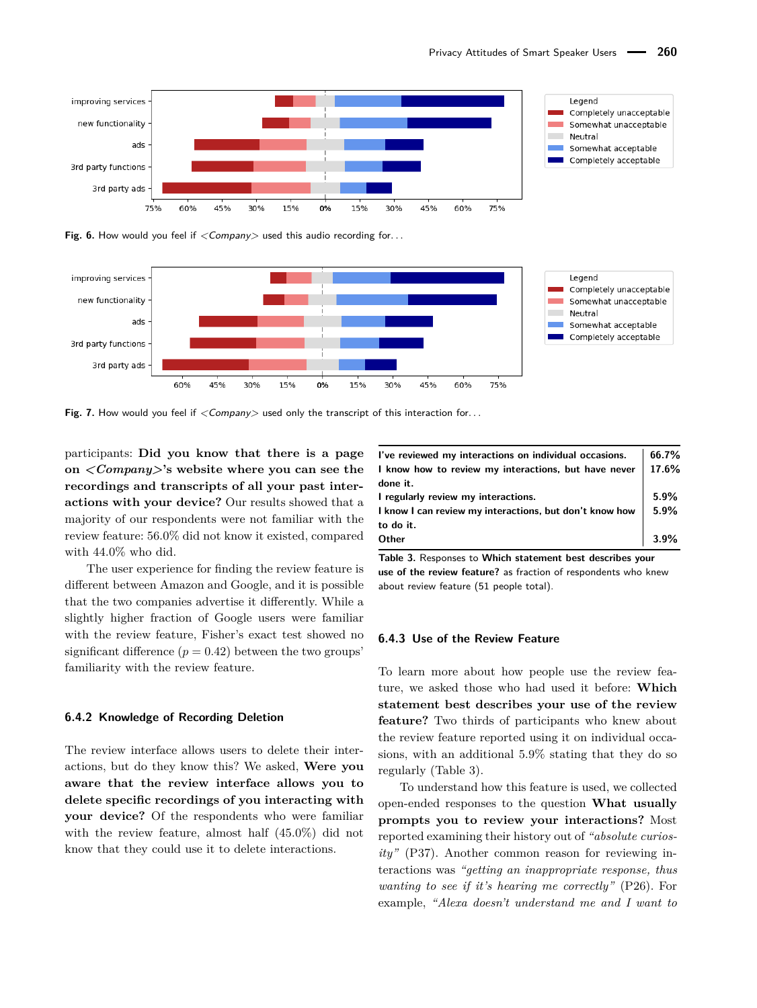<span id="page-10-0"></span>

**Fig. 6.** How would you feel if  $\langle$  Company used this audio recording for...

<span id="page-10-1"></span>

Fig. 7. How would you feel if  $\langle\mathit{Company}\rangle$  used only the transcript of this interaction for...

participants: **Did you know that there is a page on** *<Company>***'s website where you can see the recordings and transcripts of all your past interactions with your device?** Our results showed that a majority of our respondents were not familiar with the review feature: 56.0% did not know it existed, compared with 44.0% who did.

The user experience for finding the review feature is different between Amazon and Google, and it is possible that the two companies advertise it differently. While a slightly higher fraction of Google users were familiar with the review feature, Fisher's exact test showed no significant difference  $(p = 0.42)$  between the two groups' familiarity with the review feature.

#### **6.4.2 Knowledge of Recording Deletion**

The review interface allows users to delete their interactions, but do they know this? We asked, **Were you aware that the review interface allows you to delete specific recordings of you interacting with your device?** Of the respondents who were familiar with the review feature, almost half (45.0%) did not know that they could use it to delete interactions.

<span id="page-10-2"></span>

| I've reviewed my interactions on individual occasions.  | 66.7%   |
|---------------------------------------------------------|---------|
| I know how to review my interactions, but have never    | 17.6%   |
| done it.                                                |         |
| I regularly review my interactions.                     | 5.9%    |
| I know I can review my interactions, but don't know how | $5.9\%$ |
| to do it.                                               |         |
| Other                                                   | $3.9\%$ |

**Table 3.** Responses to **Which statement best describes your use of the review feature?** as fraction of respondents who knew about review feature (51 people total).

#### **6.4.3 Use of the Review Feature**

To learn more about how people use the review feature, we asked those who had used it before: **Which statement best describes your use of the review feature?** Two thirds of participants who knew about the review feature reported using it on individual occasions, with an additional 5.9% stating that they do so regularly (Table [3\)](#page-10-2).

To understand how this feature is used, we collected open-ended responses to the question **What usually prompts you to review your interactions?** Most reported examining their history out of *"absolute curiosity"* (P37). Another common reason for reviewing interactions was *"getting an inappropriate response, thus wanting to see if it's hearing me correctly"* (P26). For example, *"Alexa doesn't understand me and I want to*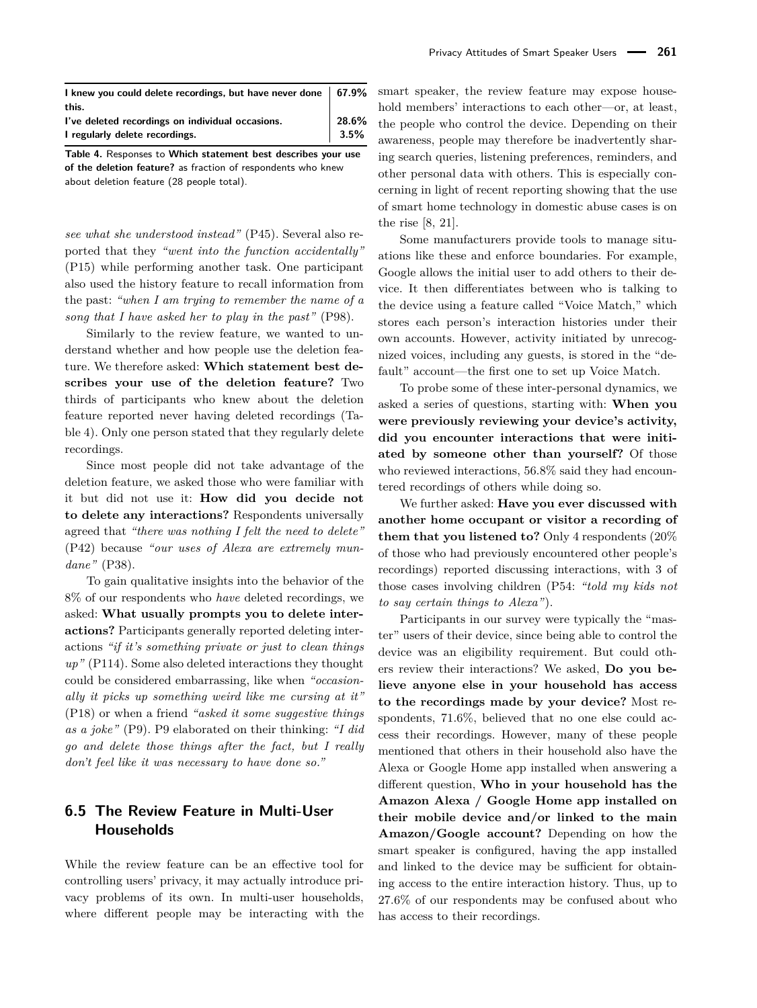<span id="page-11-0"></span>

| I knew you could delete recordings, but have never done   67.9% |         |
|-----------------------------------------------------------------|---------|
| this.                                                           |         |
| I've deleted recordings on individual occasions.                | 28.6%   |
| I regularly delete recordings.                                  | $3.5\%$ |

**Table 4.** Responses to **Which statement best describes your use of the deletion feature?** as fraction of respondents who knew about deletion feature (28 people total).

*see what she understood instead"* (P45). Several also reported that they *"went into the function accidentally"* (P15) while performing another task. One participant also used the history feature to recall information from the past: *"when I am trying to remember the name of a song that I have asked her to play in the past"* (P98).

Similarly to the review feature, we wanted to understand whether and how people use the deletion feature. We therefore asked: **Which statement best describes your use of the deletion feature?** Two thirds of participants who knew about the deletion feature reported never having deleted recordings (Table [4\)](#page-11-0). Only one person stated that they regularly delete recordings.

Since most people did not take advantage of the deletion feature, we asked those who were familiar with it but did not use it: **How did you decide not to delete any interactions?** Respondents universally agreed that *"there was nothing I felt the need to delete"* (P42) because *"our uses of Alexa are extremely mundane"* (P38).

To gain qualitative insights into the behavior of the 8% of our respondents who *have* deleted recordings, we asked: **What usually prompts you to delete interactions?** Participants generally reported deleting interactions *"if it's something private or just to clean things up"* (P114). Some also deleted interactions they thought could be considered embarrassing, like when *"occasionally it picks up something weird like me cursing at it"* (P18) or when a friend *"asked it some suggestive things as a joke"* (P9). P9 elaborated on their thinking: *"I did go and delete those things after the fact, but I really don't feel like it was necessary to have done so."*

# **6.5 The Review Feature in Multi-User Households**

While the review feature can be an effective tool for controlling users' privacy, it may actually introduce privacy problems of its own. In multi-user households, where different people may be interacting with the smart speaker, the review feature may expose household members' interactions to each other—or, at least, the people who control the device. Depending on their awareness, people may therefore be inadvertently sharing search queries, listening preferences, reminders, and other personal data with others. This is especially concerning in light of recent reporting showing that the use of smart home technology in domestic abuse cases is on the rise [\[8,](#page-16-22) [21\]](#page-16-23).

Some manufacturers provide tools to manage situations like these and enforce boundaries. For example, Google allows the initial user to add others to their device. It then differentiates between who is talking to the device using a feature called "Voice Match," which stores each person's interaction histories under their own accounts. However, activity initiated by unrecognized voices, including any guests, is stored in the "default" account—the first one to set up Voice Match.

To probe some of these inter-personal dynamics, we asked a series of questions, starting with: **When you were previously reviewing your device's activity, did you encounter interactions that were initiated by someone other than yourself?** Of those who reviewed interactions, 56.8% said they had encountered recordings of others while doing so.

We further asked: **Have you ever discussed with another home occupant or visitor a recording of them that you listened to?** Only 4 respondents (20% of those who had previously encountered other people's recordings) reported discussing interactions, with 3 of those cases involving children (P54: *"told my kids not to say certain things to Alexa"*).

Participants in our survey were typically the "master" users of their device, since being able to control the device was an eligibility requirement. But could others review their interactions? We asked, **Do you believe anyone else in your household has access to the recordings made by your device?** Most respondents, 71.6%, believed that no one else could access their recordings. However, many of these people mentioned that others in their household also have the Alexa or Google Home app installed when answering a different question, **Who in your household has the Amazon Alexa / Google Home app installed on their mobile device and/or linked to the main Amazon/Google account?** Depending on how the smart speaker is configured, having the app installed and linked to the device may be sufficient for obtaining access to the entire interaction history. Thus, up to 27.6% of our respondents may be confused about who has access to their recordings.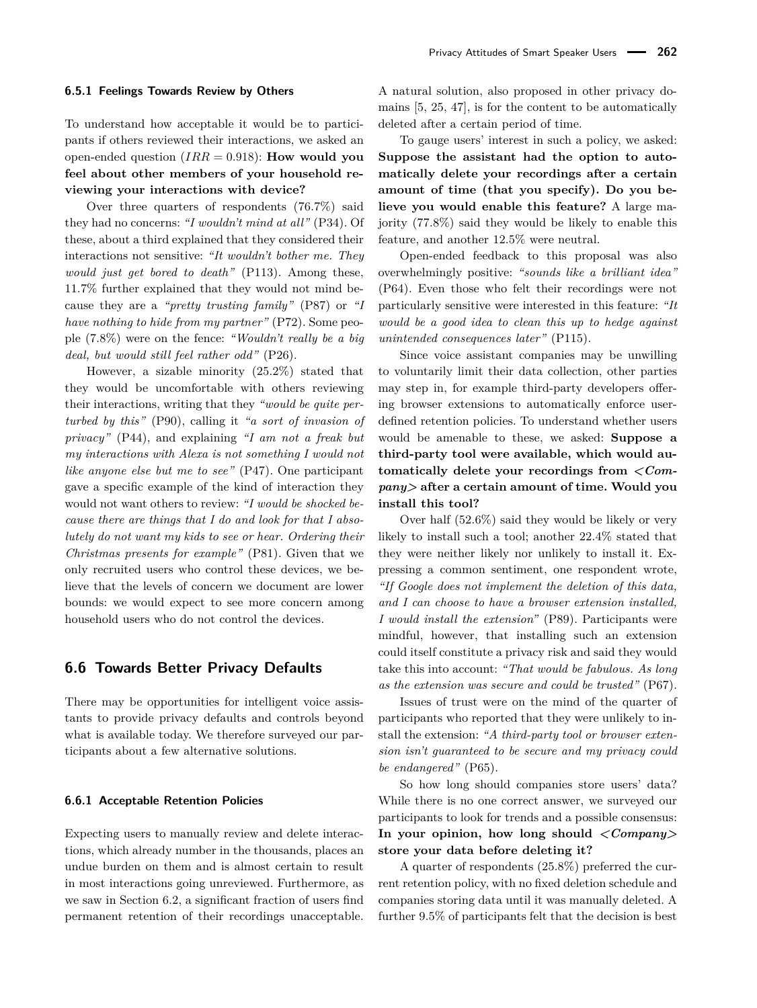#### **6.5.1 Feelings Towards Review by Others**

To understand how acceptable it would be to participants if others reviewed their interactions, we asked an open-ended question (*IRR* = 0*.*918): **How would you feel about other members of your household reviewing your interactions with device?**

Over three quarters of respondents (76.7%) said they had no concerns: *"I wouldn't mind at all"* (P34). Of these, about a third explained that they considered their interactions not sensitive: *"It wouldn't bother me. They would just get bored to death"* (P113). Among these, 11.7% further explained that they would not mind because they are a *"pretty trusting family"* (P87) or *"I have nothing to hide from my partner"* (P72). Some people (7.8%) were on the fence: *"Wouldn't really be a big deal, but would still feel rather odd"* (P26).

However, a sizable minority (25.2%) stated that they would be uncomfortable with others reviewing their interactions, writing that they *"would be quite perturbed by this"* (P90), calling it *"a sort of invasion of privacy"* (P44), and explaining *"I am not a freak but my interactions with Alexa is not something I would not like anyone else but me to see"* (P47). One participant gave a specific example of the kind of interaction they would not want others to review: *"I would be shocked because there are things that I do and look for that I absolutely do not want my kids to see or hear. Ordering their Christmas presents for example"* (P81). Given that we only recruited users who control these devices, we believe that the levels of concern we document are lower bounds: we would expect to see more concern among household users who do not control the devices.

#### <span id="page-12-0"></span>**6.6 Towards Better Privacy Defaults**

There may be opportunities for intelligent voice assistants to provide privacy defaults and controls beyond what is available today. We therefore surveyed our participants about a few alternative solutions.

#### **6.6.1 Acceptable Retention Policies**

Expecting users to manually review and delete interactions, which already number in the thousands, places an undue burden on them and is almost certain to result in most interactions going unreviewed. Furthermore, as we saw in Section [6.2,](#page-6-1) a significant fraction of users find permanent retention of their recordings unacceptable.

A natural solution, also proposed in other privacy domains [\[5,](#page-16-14) [25,](#page-16-15) [47\]](#page-17-19), is for the content to be automatically deleted after a certain period of time.

To gauge users' interest in such a policy, we asked: **Suppose the assistant had the option to automatically delete your recordings after a certain amount of time (that you specify). Do you believe you would enable this feature?** A large majority (77.8%) said they would be likely to enable this feature, and another 12.5% were neutral.

Open-ended feedback to this proposal was also overwhelmingly positive: *"sounds like a brilliant idea"* (P64). Even those who felt their recordings were not particularly sensitive were interested in this feature: *"It would be a good idea to clean this up to hedge against unintended consequences later"* (P115).

Since voice assistant companies may be unwilling to voluntarily limit their data collection, other parties may step in, for example third-party developers offering browser extensions to automatically enforce userdefined retention policies. To understand whether users would be amenable to these, we asked: **Suppose a third-party tool were available, which would automatically delete your recordings from** *<Company>* **after a certain amount of time. Would you install this tool?**

Over half (52.6%) said they would be likely or very likely to install such a tool; another 22.4% stated that they were neither likely nor unlikely to install it. Expressing a common sentiment, one respondent wrote, *"If Google does not implement the deletion of this data, and I can choose to have a browser extension installed, I would install the extension"* (P89). Participants were mindful, however, that installing such an extension could itself constitute a privacy risk and said they would take this into account: *"That would be fabulous. As long as the extension was secure and could be trusted"* (P67).

Issues of trust were on the mind of the quarter of participants who reported that they were unlikely to install the extension: *"A third-party tool or browser extension isn't guaranteed to be secure and my privacy could be endangered"* (P65).

So how long should companies store users' data? While there is no one correct answer, we surveyed our participants to look for trends and a possible consensus: **In your opinion, how long should** *<Company>* **store your data before deleting it?**

A quarter of respondents (25.8%) preferred the current retention policy, with no fixed deletion schedule and companies storing data until it was manually deleted. A further 9.5% of participants felt that the decision is best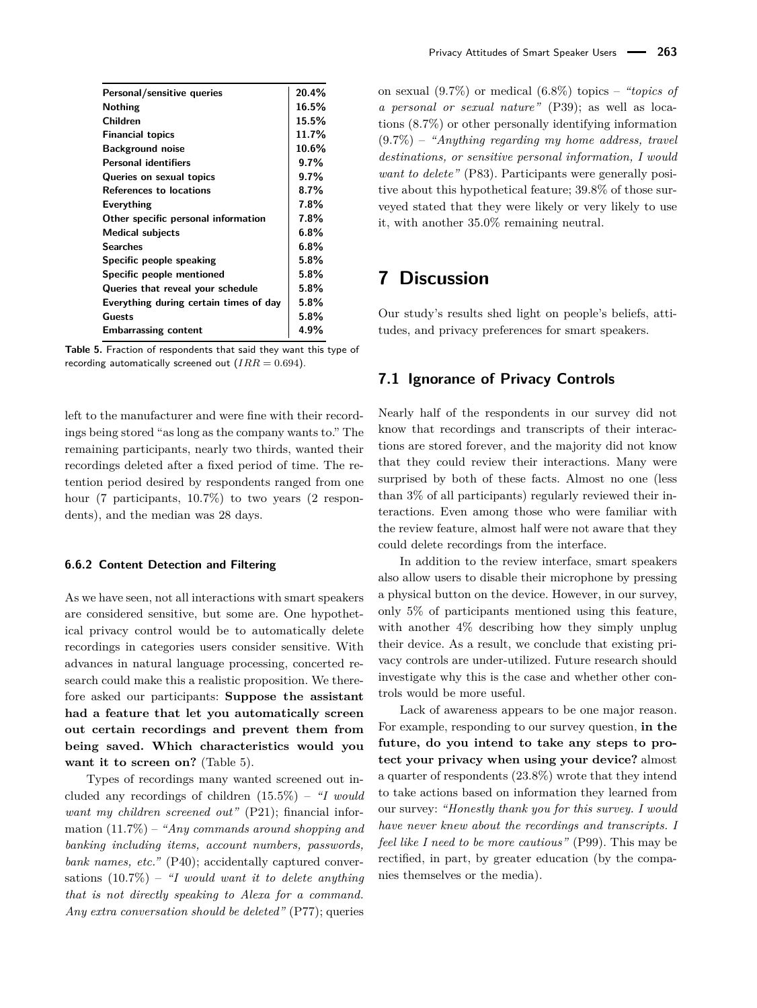<span id="page-13-0"></span>

| Personal/sensitive queries             | 20.4%   |
|----------------------------------------|---------|
| <b>Nothing</b>                         | 16.5%   |
| Children                               | 15.5%   |
| <b>Financial topics</b>                | 11.7%   |
| <b>Background noise</b>                | 10.6%   |
| <b>Personal identifiers</b>            | 9.7%    |
| Queries on sexual topics               | 9.7%    |
| <b>References to locations</b>         | $8.7\%$ |
| Everything                             | 7.8%    |
| Other specific personal information    | 7.8%    |
| <b>Medical subjects</b>                | 6.8%    |
| <b>Searches</b>                        | $6.8\%$ |
| Specific people speaking               | 5.8%    |
| Specific people mentioned              | $5.8\%$ |
| Queries that reveal your schedule      | 5.8%    |
| Everything during certain times of day | 5.8%    |
| Guests                                 | 5.8%    |
| <b>Embarrassing content</b>            | 4.9%    |

**Table 5.** Fraction of respondents that said they want this type of recording automatically screened out  $(IRR = 0.694)$ .

left to the manufacturer and were fine with their recordings being stored "as long as the company wants to." The remaining participants, nearly two thirds, wanted their recordings deleted after a fixed period of time. The retention period desired by respondents ranged from one hour (7 participants, 10.7%) to two years (2 respondents), and the median was 28 days.

#### **6.6.2 Content Detection and Filtering**

As we have seen, not all interactions with smart speakers are considered sensitive, but some are. One hypothetical privacy control would be to automatically delete recordings in categories users consider sensitive. With advances in natural language processing, concerted research could make this a realistic proposition. We therefore asked our participants: **Suppose the assistant had a feature that let you automatically screen out certain recordings and prevent them from being saved. Which characteristics would you want it to screen on?** (Table [5\)](#page-13-0).

Types of recordings many wanted screened out included any recordings of children (15.5%) – *"I would want my children screened out"* (P21); financial information (11.7%) – *"Any commands around shopping and banking including items, account numbers, passwords, bank names, etc."* (P40); accidentally captured conversations (10.7%) – *"I would want it to delete anything that is not directly speaking to Alexa for a command. Any extra conversation should be deleted"* (P77); queries

on sexual (9.7%) or medical (6.8%) topics – *"topics of a personal or sexual nature"* (P39); as well as locations (8.7%) or other personally identifying information (9.7%) – *"Anything regarding my home address, travel destinations, or sensitive personal information, I would want to delete"* (P83). Participants were generally positive about this hypothetical feature; 39.8% of those surveyed stated that they were likely or very likely to use it, with another 35.0% remaining neutral.

# **7 Discussion**

Our study's results shed light on people's beliefs, attitudes, and privacy preferences for smart speakers.

### **7.1 Ignorance of Privacy Controls**

Nearly half of the respondents in our survey did not know that recordings and transcripts of their interactions are stored forever, and the majority did not know that they could review their interactions. Many were surprised by both of these facts. Almost no one (less than 3% of all participants) regularly reviewed their interactions. Even among those who were familiar with the review feature, almost half were not aware that they could delete recordings from the interface.

In addition to the review interface, smart speakers also allow users to disable their microphone by pressing a physical button on the device. However, in our survey, only 5% of participants mentioned using this feature, with another 4% describing how they simply unplug their device. As a result, we conclude that existing privacy controls are under-utilized. Future research should investigate why this is the case and whether other controls would be more useful.

Lack of awareness appears to be one major reason. For example, responding to our survey question, **in the future, do you intend to take any steps to protect your privacy when using your device?** almost a quarter of respondents (23.8%) wrote that they intend to take actions based on information they learned from our survey: *"Honestly thank you for this survey. I would have never knew about the recordings and transcripts. I feel like I need to be more cautious"* (P99). This may be rectified, in part, by greater education (by the companies themselves or the media).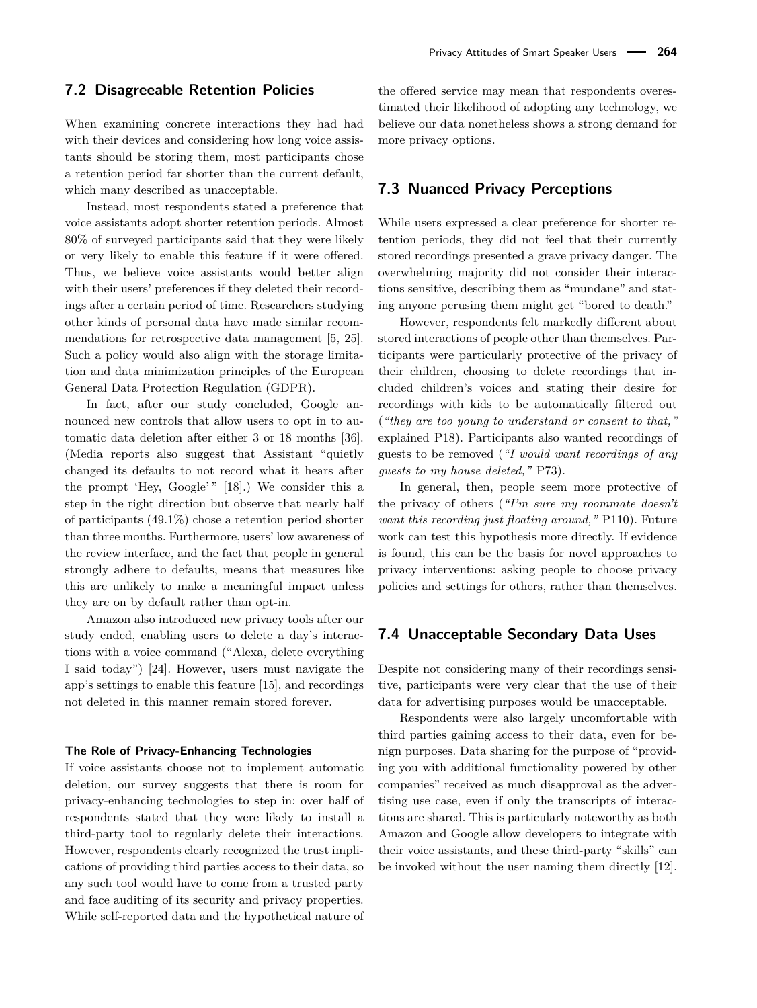#### **7.2 Disagreeable Retention Policies**

When examining concrete interactions they had had with their devices and considering how long voice assistants should be storing them, most participants chose a retention period far shorter than the current default, which many described as unacceptable.

Instead, most respondents stated a preference that voice assistants adopt shorter retention periods. Almost 80% of surveyed participants said that they were likely or very likely to enable this feature if it were offered. Thus, we believe voice assistants would better align with their users' preferences if they deleted their recordings after a certain period of time. Researchers studying other kinds of personal data have made similar recommendations for retrospective data management [\[5,](#page-16-14) [25\]](#page-16-15). Such a policy would also align with the storage limitation and data minimization principles of the European General Data Protection Regulation (GDPR).

In fact, after our study concluded, Google announced new controls that allow users to opt in to automatic data deletion after either 3 or 18 months [\[36\]](#page-17-20). (Media reports also suggest that Assistant "quietly changed its defaults to not record what it hears after the prompt 'Hey, Google'" [\[18\]](#page-16-24).) We consider this a step in the right direction but observe that nearly half of participants (49.1%) chose a retention period shorter than three months. Furthermore, users' low awareness of the review interface, and the fact that people in general strongly adhere to defaults, means that measures like this are unlikely to make a meaningful impact unless they are on by default rather than opt-in.

Amazon also introduced new privacy tools after our study ended, enabling users to delete a day's interactions with a voice command ("Alexa, delete everything I said today") [\[24\]](#page-16-25). However, users must navigate the app's settings to enable this feature [\[15\]](#page-16-26), and recordings not deleted in this manner remain stored forever.

#### **The Role of Privacy-Enhancing Technologies**

If voice assistants choose not to implement automatic deletion, our survey suggests that there is room for privacy-enhancing technologies to step in: over half of respondents stated that they were likely to install a third-party tool to regularly delete their interactions. However, respondents clearly recognized the trust implications of providing third parties access to their data, so any such tool would have to come from a trusted party and face auditing of its security and privacy properties. While self-reported data and the hypothetical nature of the offered service may mean that respondents overestimated their likelihood of adopting any technology, we believe our data nonetheless shows a strong demand for more privacy options.

### **7.3 Nuanced Privacy Perceptions**

While users expressed a clear preference for shorter retention periods, they did not feel that their currently stored recordings presented a grave privacy danger. The overwhelming majority did not consider their interactions sensitive, describing them as "mundane" and stating anyone perusing them might get "bored to death."

However, respondents felt markedly different about stored interactions of people other than themselves. Participants were particularly protective of the privacy of their children, choosing to delete recordings that included children's voices and stating their desire for recordings with kids to be automatically filtered out (*"they are too young to understand or consent to that,"* explained P18). Participants also wanted recordings of guests to be removed (*"I would want recordings of any guests to my house deleted,"* P73).

In general, then, people seem more protective of the privacy of others (*"I'm sure my roommate doesn't want this recording just floating around,"* P110). Future work can test this hypothesis more directly. If evidence is found, this can be the basis for novel approaches to privacy interventions: asking people to choose privacy policies and settings for others, rather than themselves.

## **7.4 Unacceptable Secondary Data Uses**

Despite not considering many of their recordings sensitive, participants were very clear that the use of their data for advertising purposes would be unacceptable.

Respondents were also largely uncomfortable with third parties gaining access to their data, even for benign purposes. Data sharing for the purpose of "providing you with additional functionality powered by other companies" received as much disapproval as the advertising use case, even if only the transcripts of interactions are shared. This is particularly noteworthy as both Amazon and Google allow developers to integrate with their voice assistants, and these third-party "skills" can be invoked without the user naming them directly [\[12\]](#page-16-27).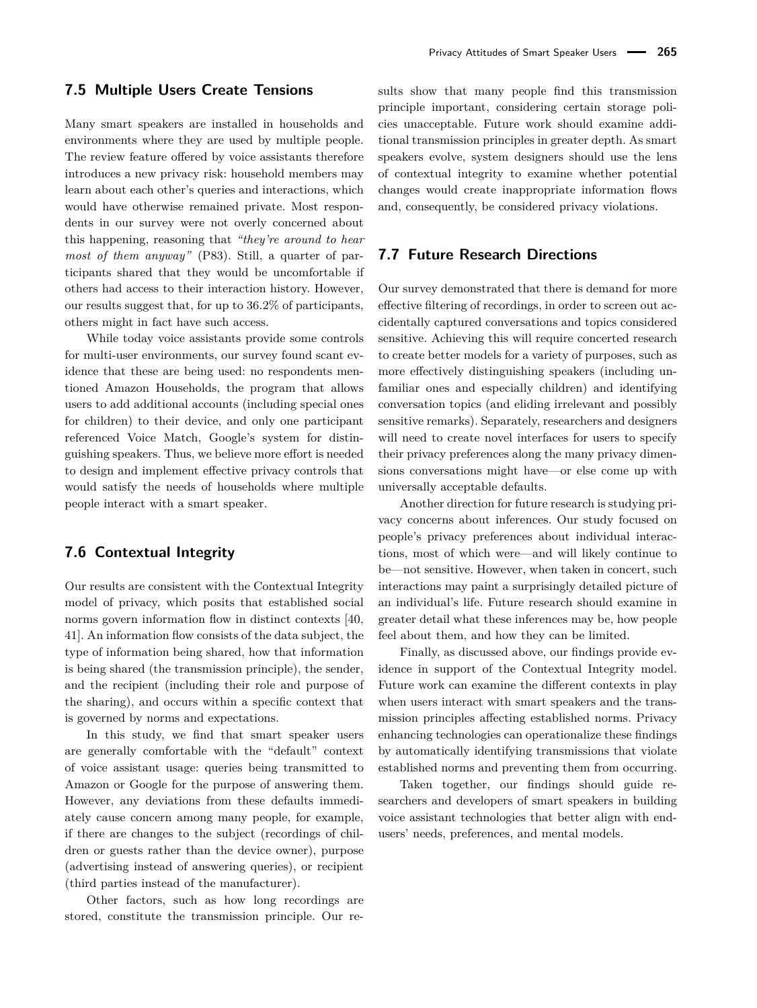### **7.5 Multiple Users Create Tensions**

Many smart speakers are installed in households and environments where they are used by multiple people. The review feature offered by voice assistants therefore introduces a new privacy risk: household members may learn about each other's queries and interactions, which would have otherwise remained private. Most respondents in our survey were not overly concerned about this happening, reasoning that *"they're around to hear most of them anyway"* (P83). Still, a quarter of participants shared that they would be uncomfortable if others had access to their interaction history. However, our results suggest that, for up to 36.2% of participants, others might in fact have such access.

While today voice assistants provide some controls for multi-user environments, our survey found scant evidence that these are being used: no respondents mentioned Amazon Households, the program that allows users to add additional accounts (including special ones for children) to their device, and only one participant referenced Voice Match, Google's system for distinguishing speakers. Thus, we believe more effort is needed to design and implement effective privacy controls that would satisfy the needs of households where multiple people interact with a smart speaker.

## **7.6 Contextual Integrity**

Our results are consistent with the Contextual Integrity model of privacy, which posits that established social norms govern information flow in distinct contexts [\[40,](#page-17-21) [41\]](#page-17-22). An information flow consists of the data subject, the type of information being shared, how that information is being shared (the transmission principle), the sender, and the recipient (including their role and purpose of the sharing), and occurs within a specific context that is governed by norms and expectations.

In this study, we find that smart speaker users are generally comfortable with the "default" context of voice assistant usage: queries being transmitted to Amazon or Google for the purpose of answering them. However, any deviations from these defaults immediately cause concern among many people, for example, if there are changes to the subject (recordings of children or guests rather than the device owner), purpose (advertising instead of answering queries), or recipient (third parties instead of the manufacturer).

Other factors, such as how long recordings are stored, constitute the transmission principle. Our results show that many people find this transmission principle important, considering certain storage policies unacceptable. Future work should examine additional transmission principles in greater depth. As smart speakers evolve, system designers should use the lens of contextual integrity to examine whether potential changes would create inappropriate information flows and, consequently, be considered privacy violations.

### **7.7 Future Research Directions**

Our survey demonstrated that there is demand for more effective filtering of recordings, in order to screen out accidentally captured conversations and topics considered sensitive. Achieving this will require concerted research to create better models for a variety of purposes, such as more effectively distinguishing speakers (including unfamiliar ones and especially children) and identifying conversation topics (and eliding irrelevant and possibly sensitive remarks). Separately, researchers and designers will need to create novel interfaces for users to specify their privacy preferences along the many privacy dimensions conversations might have—or else come up with universally acceptable defaults.

Another direction for future research is studying privacy concerns about inferences. Our study focused on people's privacy preferences about individual interactions, most of which were—and will likely continue to be—not sensitive. However, when taken in concert, such interactions may paint a surprisingly detailed picture of an individual's life. Future research should examine in greater detail what these inferences may be, how people feel about them, and how they can be limited.

Finally, as discussed above, our findings provide evidence in support of the Contextual Integrity model. Future work can examine the different contexts in play when users interact with smart speakers and the transmission principles affecting established norms. Privacy enhancing technologies can operationalize these findings by automatically identifying transmissions that violate established norms and preventing them from occurring.

Taken together, our findings should guide researchers and developers of smart speakers in building voice assistant technologies that better align with endusers' needs, preferences, and mental models.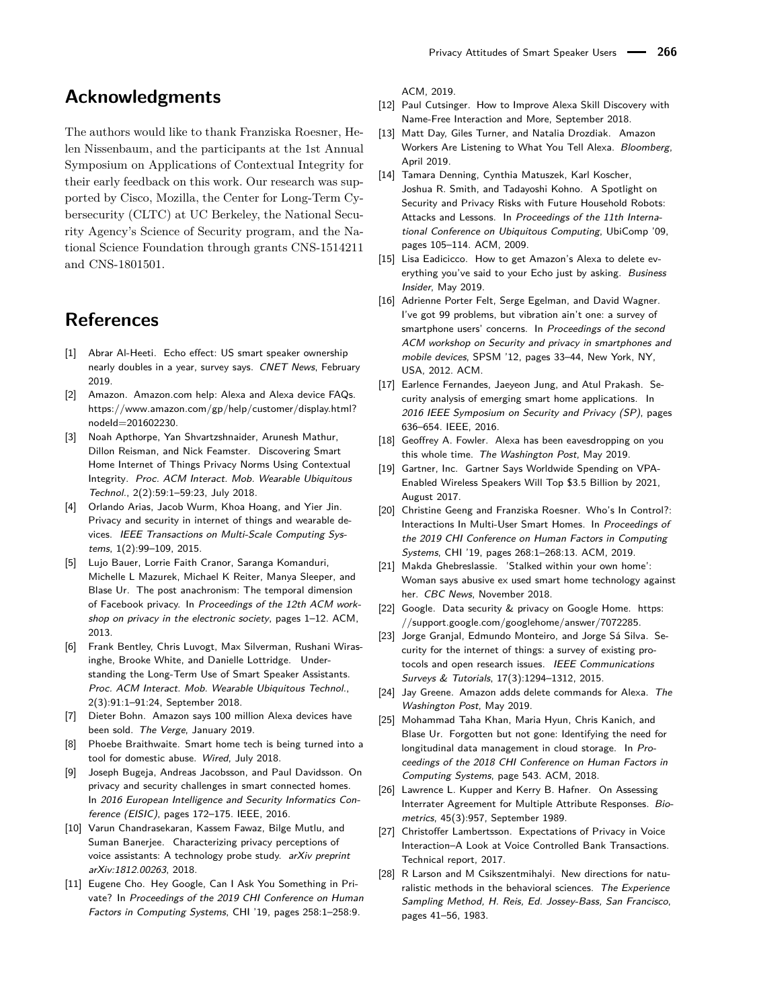# **Acknowledgments**

The authors would like to thank Franziska Roesner, Helen Nissenbaum, and the participants at the 1st Annual Symposium on Applications of Contextual Integrity for their early feedback on this work. Our research was supported by Cisco, Mozilla, the Center for Long-Term Cybersecurity (CLTC) at UC Berkeley, the National Security Agency's Science of Security program, and the National Science Foundation through grants CNS-1514211 and CNS-1801501.

# **References**

- <span id="page-16-0"></span>[1] Abrar Al-Heeti. Echo effect: US smart speaker ownership nearly doubles in a year, survey says. CNET News, February 2019.
- <span id="page-16-20"></span>[2] Amazon. Amazon.com help: Alexa and Alexa device FAQs. [https://www.amazon.com/gp/help/customer/display.html?](https://www.amazon.com/gp/help/customer/display.html?nodeId=201602230) [nodeId=201602230.](https://www.amazon.com/gp/help/customer/display.html?nodeId=201602230)
- <span id="page-16-10"></span>[3] Noah Apthorpe, Yan Shvartzshnaider, Arunesh Mathur, Dillon Reisman, and Nick Feamster. Discovering Smart Home Internet of Things Privacy Norms Using Contextual Integrity. Proc. ACM Interact. Mob. Wearable Ubiquitous Technol., 2(2):59:1–59:23, July 2018.
- <span id="page-16-6"></span>[4] Orlando Arias, Jacob Wurm, Khoa Hoang, and Yier Jin. Privacy and security in internet of things and wearable devices. IEEE Transactions on Multi-Scale Computing Systems, 1(2):99–109, 2015.
- <span id="page-16-14"></span>[5] Lujo Bauer, Lorrie Faith Cranor, Saranga Komanduri, Michelle L Mazurek, Michael K Reiter, Manya Sleeper, and Blase Ur. The post anachronism: The temporal dimension of Facebook privacy. In Proceedings of the 12th ACM workshop on privacy in the electronic society, pages 1–12. ACM, 2013.
- <span id="page-16-18"></span>[6] Frank Bentley, Chris Luvogt, Max Silverman, Rushani Wirasinghe, Brooke White, and Danielle Lottridge. Understanding the Long-Term Use of Smart Speaker Assistants. Proc. ACM Interact. Mob. Wearable Ubiquitous Technol., 2(3):91:1–91:24, September 2018.
- <span id="page-16-2"></span>[7] Dieter Bohn. Amazon says 100 million Alexa devices have been sold. The Verge, January 2019.
- <span id="page-16-22"></span>[8] Phoebe Braithwaite. Smart home tech is being turned into a tool for domestic abuse. Wired, July 2018.
- <span id="page-16-7"></span>[9] Joseph Bugeja, Andreas Jacobsson, and Paul Davidsson. On privacy and security challenges in smart connected homes. In 2016 European Intelligence and Security Informatics Conference (EISIC), pages 172–175. IEEE, 2016.
- <span id="page-16-11"></span>[10] Varun Chandrasekaran, Kassem Fawaz, Bilge Mutlu, and Suman Banerjee. Characterizing privacy perceptions of voice assistants: A technology probe study. arXiv preprint arXiv:1812.00263, 2018.
- <span id="page-16-13"></span>[11] Eugene Cho. Hey Google, Can I Ask You Something in Private? In Proceedings of the 2019 CHI Conference on Human Factors in Computing Systems, CHI '19, pages 258:1–258:9.

ACM, 2019.

- <span id="page-16-27"></span>[12] Paul Cutsinger. How to Improve Alexa Skill Discovery with Name-Free Interaction and More, September 2018.
- <span id="page-16-19"></span>[13] Matt Day, Giles Turner, and Natalia Drozdiak. Amazon Workers Are Listening to What You Tell Alexa. Bloomberg, April 2019.
- <span id="page-16-8"></span>[14] Tamara Denning, Cynthia Matuszek, Karl Koscher, Joshua R. Smith, and Tadayoshi Kohno. A Spotlight on Security and Privacy Risks with Future Household Robots: Attacks and Lessons. In Proceedings of the 11th International Conference on Ubiquitous Computing, UbiComp '09, pages 105–114. ACM, 2009.
- <span id="page-16-26"></span>[15] Lisa Eadicicco. How to get Amazon's Alexa to delete everything you've said to your Echo just by asking. Business Insider, May 2019.
- <span id="page-16-3"></span>[16] Adrienne Porter Felt, Serge Egelman, and David Wagner. I've got 99 problems, but vibration ain't one: a survey of smartphone users' concerns. In Proceedings of the second ACM workshop on Security and privacy in smartphones and mobile devices, SPSM '12, pages 33–44, New York, NY, USA, 2012. ACM.
- <span id="page-16-4"></span>[17] Earlence Fernandes, Jaeyeon Jung, and Atul Prakash. Security analysis of emerging smart home applications. In 2016 IEEE Symposium on Security and Privacy (SP), pages 636–654. IEEE, 2016.
- <span id="page-16-24"></span>[18] Geoffrey A. Fowler. Alexa has been eavesdropping on you this whole time. The Washington Post, May 2019.
- <span id="page-16-1"></span>[19] Gartner, Inc. Gartner Says Worldwide Spending on VPA-Enabled Wireless Speakers Will Top \$3.5 Billion by 2021, August 2017.
- <span id="page-16-9"></span>[20] Christine Geeng and Franziska Roesner. Who's In Control?: Interactions In Multi-User Smart Homes. In Proceedings of the 2019 CHI Conference on Human Factors in Computing Systems, CHI '19, pages 268:1–268:13. ACM, 2019.
- <span id="page-16-23"></span>[21] Makda Ghebreslassie. 'Stalked within your own home': Woman says abusive ex used smart home technology against her. CBC News, November 2018.
- <span id="page-16-21"></span>[22] Google. Data security & privacy on Google Home. [https:](https://support.google.com/googlehome/answer/7072285) [//support.google.com/googlehome/answer/7072285.](https://support.google.com/googlehome/answer/7072285)
- <span id="page-16-5"></span>[23] Jorge Granjal, Edmundo Monteiro, and Jorge Sá Silva. Security for the internet of things: a survey of existing protocols and open research issues. IEEE Communications Surveys & Tutorials, 17(3):1294–1312, 2015.
- <span id="page-16-25"></span>[24] Jay Greene. Amazon adds delete commands for Alexa. The Washington Post, May 2019.
- <span id="page-16-15"></span>[25] Mohammad Taha Khan, Maria Hyun, Chris Kanich, and Blase Ur. Forgotten but not gone: Identifying the need for longitudinal data management in cloud storage. In Proceedings of the 2018 CHI Conference on Human Factors in Computing Systems, page 543. ACM, 2018.
- <span id="page-16-17"></span>[26] Lawrence L. Kupper and Kerry B. Hafner. On Assessing Interrater Agreement for Multiple Attribute Responses. Biometrics, 45(3):957, September 1989.
- <span id="page-16-12"></span>[27] Christoffer Lambertsson. Expectations of Privacy in Voice Interaction–A Look at Voice Controlled Bank Transactions. Technical report, 2017.
- <span id="page-16-16"></span>[28] R Larson and M Csikszentmihalyi. New directions for naturalistic methods in the behavioral sciences. The Experience Sampling Method, H. Reis, Ed. Jossey-Bass, San Francisco, pages 41–56, 1983.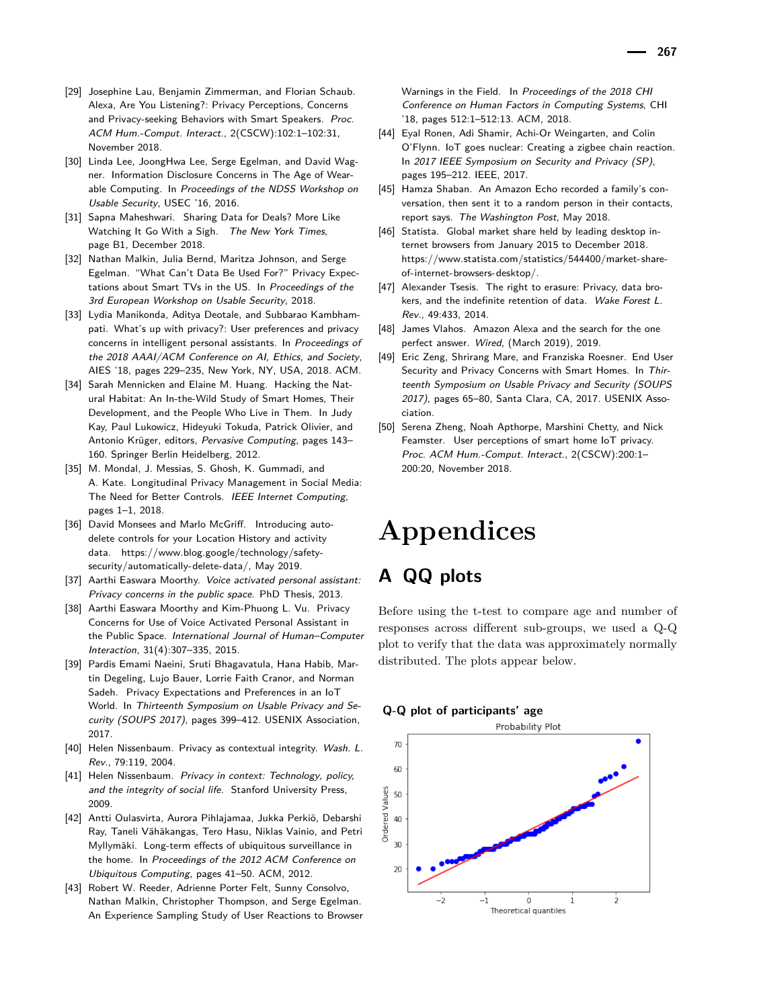- <span id="page-17-12"></span>[29] Josephine Lau, Benjamin Zimmerman, and Florian Schaub. Alexa, Are You Listening?: Privacy Perceptions, Concerns and Privacy-seeking Behaviors with Smart Speakers. Proc. ACM Hum.-Comput. Interact., 2(CSCW):102:1–102:31, November 2018.
- <span id="page-17-1"></span>[30] Linda Lee, JoongHwa Lee, Serge Egelman, and David Wagner. Information Disclosure Concerns in The Age of Wearable Computing. In Proceedings of the NDSS Workshop on Usable Security, USEC '16, 2016.
- <span id="page-17-18"></span>[31] Sapna Maheshwari. Sharing Data for Deals? More Like Watching It Go With a Sigh. The New York Times, page B1, December 2018.
- <span id="page-17-6"></span>[32] Nathan Malkin, Julia Bernd, Maritza Johnson, and Serge Egelman. "What Can't Data Be Used For?" Privacy Expectations about Smart TVs in the US. In Proceedings of the 3rd European Workshop on Usable Security, 2018.
- <span id="page-17-2"></span>[33] Lydia Manikonda, Aditya Deotale, and Subbarao Kambhampati. What's up with privacy?: User preferences and privacy concerns in intelligent personal assistants. In Proceedings of the 2018 AAAI/ACM Conference on AI, Ethics, and Society, AIES '18, pages 229–235, New York, NY, USA, 2018. ACM.
- <span id="page-17-9"></span>[34] Sarah Mennicken and Elaine M. Huang. Hacking the Natural Habitat: An In-the-Wild Study of Smart Homes, Their Development, and the People Who Live in Them. In Judy Kay, Paul Lukowicz, Hideyuki Tokuda, Patrick Olivier, and Antonio Krüger, editors, Pervasive Computing, pages 143– 160. Springer Berlin Heidelberg, 2012.
- <span id="page-17-13"></span>[35] M. Mondal, J. Messias, S. Ghosh, K. Gummadi, and A. Kate. Longitudinal Privacy Management in Social Media: The Need for Better Controls. IEEE Internet Computing, pages 1–1, 2018.
- <span id="page-17-20"></span>[36] David Monsees and Marlo McGriff. Introducing autodelete controls for your Location History and activity data. [https://www.blog.google/technology/safety](https://www.blog.google/technology/safety-security/automatically-delete-data/)[security/automatically-delete-data/,](https://www.blog.google/technology/safety-security/automatically-delete-data/) May 2019.
- <span id="page-17-3"></span>[37] Aarthi Easwara Moorthy. Voice activated personal assistant: Privacy concerns in the public space. PhD Thesis, 2013.
- <span id="page-17-11"></span>[38] Aarthi Easwara Moorthy and Kim-Phuong L. Vu. Privacy Concerns for Use of Voice Activated Personal Assistant in the Public Space. International Journal of Human–Computer Interaction, 31(4):307–335, 2015.
- <span id="page-17-10"></span>[39] Pardis Emami Naeini, Sruti Bhagavatula, Hana Habib, Martin Degeling, Lujo Bauer, Lorrie Faith Cranor, and Norman Sadeh. Privacy Expectations and Preferences in an IoT World. In Thirteenth Symposium on Usable Privacy and Security (SOUPS 2017), pages 399–412. USENIX Association, 2017.
- <span id="page-17-21"></span>[40] Helen Nissenbaum. Privacy as contextual integrity. Wash. L. Rev., 79:119, 2004.
- <span id="page-17-22"></span>[41] Helen Nissenbaum. Privacy in context: Technology, policy, and the integrity of social life. Stanford University Press, 2009.
- <span id="page-17-4"></span>[42] Antti Oulasvirta, Aurora Pihlajamaa, Jukka Perkiö, Debarshi Ray, Taneli Vähäkangas, Tero Hasu, Niklas Vainio, and Petri Myllymäki. Long-term effects of ubiquitous surveillance in the home. In Proceedings of the 2012 ACM Conference on Ubiquitous Computing, pages 41–50. ACM, 2012.
- <span id="page-17-14"></span>[43] Robert W. Reeder, Adrienne Porter Felt, Sunny Consolvo, Nathan Malkin, Christopher Thompson, and Serge Egelman. An Experience Sampling Study of User Reactions to Browser

Warnings in the Field. In Proceedings of the 2018 CHI Conference on Human Factors in Computing Systems, CHI '18, pages 512:1–512:13. ACM, 2018.

- <span id="page-17-5"></span>[44] Eyal Ronen, Adi Shamir, Achi-Or Weingarten, and Colin O'Flynn. IoT goes nuclear: Creating a zigbee chain reaction. In 2017 IEEE Symposium on Security and Privacy (SP), pages 195–212. IEEE, 2017.
- <span id="page-17-15"></span>[45] Hamza Shaban. An Amazon Echo recorded a family's conversation, then sent it to a random person in their contacts, report says. The Washington Post, May 2018.
- <span id="page-17-16"></span>[46] Statista. Global market share held by leading desktop internet browsers from January 2015 to December 2018. [https://www.statista.com/statistics/544400/market-share](https://www.statista.com/statistics/544400/market-share-of-internet-browsers-desktop/)[of-internet-browsers-desktop/.](https://www.statista.com/statistics/544400/market-share-of-internet-browsers-desktop/)
- <span id="page-17-19"></span>[47] Alexander Tsesis. The right to erasure: Privacy, data brokers, and the indefinite retention of data. Wake Forest L. Rev., 49:433, 2014.
- <span id="page-17-0"></span>[48] James Vlahos. Amazon Alexa and the search for the one perfect answer. Wired, (March 2019), 2019.
- <span id="page-17-7"></span>[49] Eric Zeng, Shrirang Mare, and Franziska Roesner. End User Security and Privacy Concerns with Smart Homes. In Thirteenth Symposium on Usable Privacy and Security (SOUPS 2017), pages 65–80, Santa Clara, CA, 2017. USENIX Association.
- <span id="page-17-8"></span>[50] Serena Zheng, Noah Apthorpe, Marshini Chetty, and Nick Feamster. User perceptions of smart home IoT privacy. Proc. ACM Hum.-Comput. Interact., 2(CSCW):200:1– 200:20, November 2018.

# **Appendices**

# <span id="page-17-17"></span>**A QQ plots**

Before using the t-test to compare age and number of responses across different sub-groups, we used a Q-Q plot to verify that the data was approximately normally distributed. The plots appear below.

#### **Q-Q plot of participants' age**

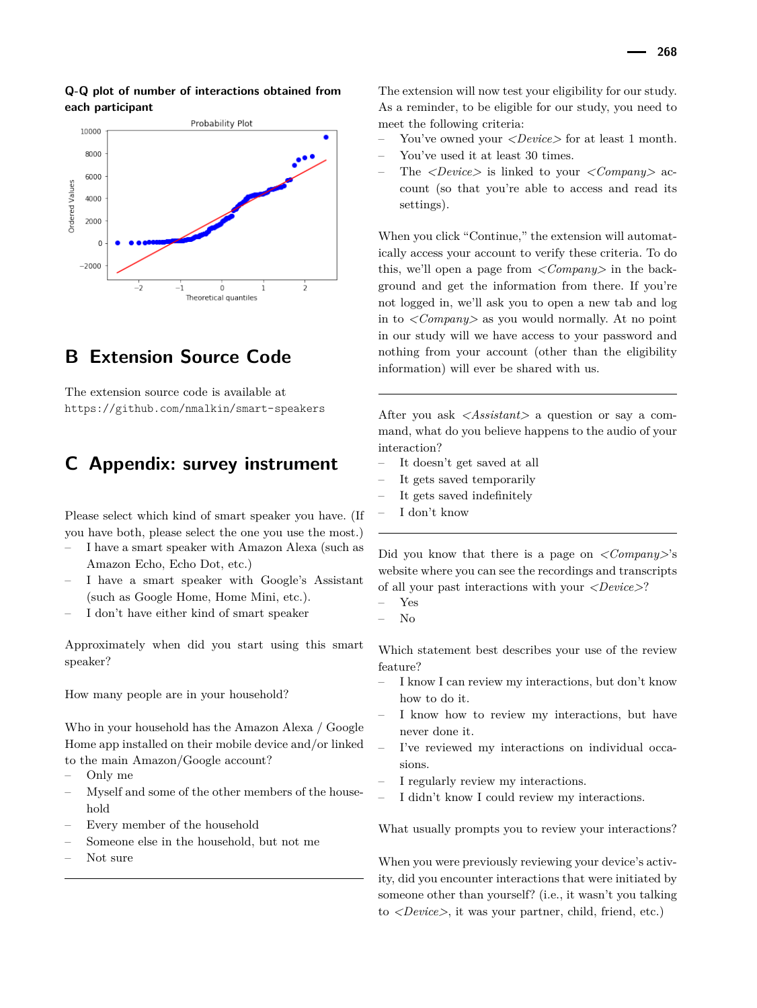

### **Q-Q plot of number of interactions obtained from each participant**

# <span id="page-18-0"></span>**B Extension Source Code**

The extension source code is available at <https://github.com/nmalkin/smart-speakers>

# <span id="page-18-1"></span>**C Appendix: survey instrument**

Please select which kind of smart speaker you have. (If you have both, please select the one you use the most.)

- I have a smart speaker with Amazon Alexa (such as Amazon Echo, Echo Dot, etc.)
- I have a smart speaker with Google's Assistant (such as Google Home, Home Mini, etc.).
- I don't have either kind of smart speaker

Approximately when did you start using this smart speaker?

How many people are in your household?

Who in your household has the Amazon Alexa / Google Home app installed on their mobile device and/or linked to the main Amazon/Google account?

- Only me
- Myself and some of the other members of the household
- Every member of the household
- Someone else in the household, but not me
- Not sure

The extension will now test your eligibility for our study. As a reminder, to be eligible for our study, you need to meet the following criteria:

- You've owned your *<Device>* for at least 1 month.
- You've used it at least 30 times.
- The *<Device>* is linked to your *<Company>* account (so that you're able to access and read its settings).

When you click "Continue," the extension will automatically access your account to verify these criteria. To do this, we'll open a page from *<Company>* in the background and get the information from there. If you're not logged in, we'll ask you to open a new tab and log in to *<Company>* as you would normally. At no point in our study will we have access to your password and nothing from your account (other than the eligibility information) will ever be shared with us.

After you ask *<Assistant>* a question or say a command, what do you believe happens to the audio of your interaction?

- It doesn't get saved at all
- It gets saved temporarily
- It gets saved indefinitely
- I don't know

Did you know that there is a page on *<Company>*'s website where you can see the recordings and transcripts of all your past interactions with your *<Device>*?

– No

Which statement best describes your use of the review feature?

- I know I can review my interactions, but don't know how to do it.
- I know how to review my interactions, but have never done it.
- I've reviewed my interactions on individual occasions.
- I regularly review my interactions.
- I didn't know I could review my interactions.

What usually prompts you to review your interactions?

When you were previously reviewing your device's activity, did you encounter interactions that were initiated by someone other than yourself? (i.e., it wasn't you talking to *<Device>*, it was your partner, child, friend, etc.)

<sup>–</sup> Yes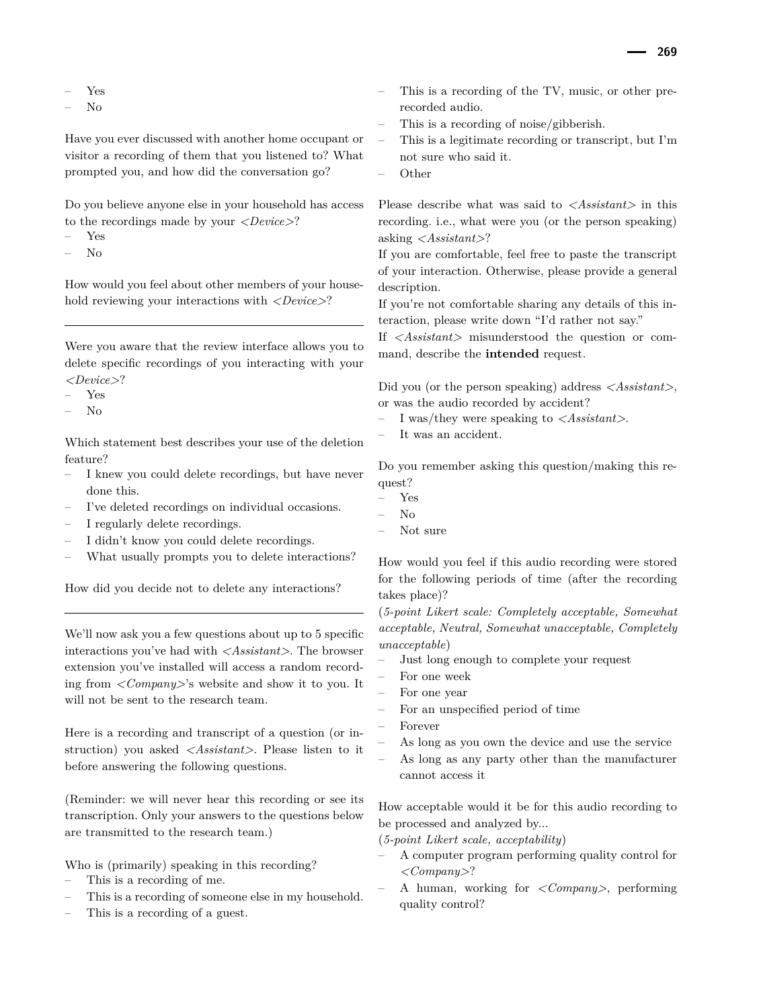– Yes

– No

Have you ever discussed with another home occupant or visitor a recording of them that you listened to? What prompted you, and how did the conversation go?

Do you believe anyone else in your household has access to the recordings made by your *<Device>*?

- Yes
- No

How would you feel about other members of your household reviewing your interactions with *<Device>*?

Were you aware that the review interface allows you to delete specific recordings of you interacting with your *<Device>*?

- Yes
- $N<sub>0</sub>$

Which statement best describes your use of the deletion feature?

- I knew you could delete recordings, but have never done this.
- I've deleted recordings on individual occasions.
- I regularly delete recordings.
- I didn't know you could delete recordings.
- What usually prompts you to delete interactions?

How did you decide not to delete any interactions?

We'll now ask you a few questions about up to 5 specific interactions you've had with *<Assistant>*. The browser extension you've installed will access a random recording from *<Company>*'s website and show it to you. It will not be sent to the research team.

Here is a recording and transcript of a question (or instruction) you asked *<Assistant>*. Please listen to it before answering the following questions.

(Reminder: we will never hear this recording or see its transcription. Only your answers to the questions below are transmitted to the research team.)

Who is (primarily) speaking in this recording?

- This is a recording of me.
- This is a recording of someone else in my household.
- This is a recording of a guest.
- This is a recording of the TV, music, or other prerecorded audio.
- This is a recording of noise/gibberish.
- This is a legitimate recording or transcript, but I'm not sure who said it.
- Other

Please describe what was said to *<Assistant>* in this recording. i.e., what were you (or the person speaking) asking *<Assistant>*?

If you are comfortable, feel free to paste the transcript of your interaction. Otherwise, please provide a general description.

If you're not comfortable sharing any details of this interaction, please write down "I'd rather not say."

If *<Assistant>* misunderstood the question or command, describe the **intended** request.

Did you (or the person speaking) address *<Assistant>*, or was the audio recorded by accident?

- I was/they were speaking to *<Assistant>*.
- It was an accident.

Do you remember asking this question/making this request?

- Yes
- No
- Not sure

How would you feel if this audio recording were stored for the following periods of time (after the recording takes place)?

(*5-point Likert scale: Completely acceptable, Somewhat acceptable, Neutral, Somewhat unacceptable, Completely unacceptable*)

- Just long enough to complete your request
- For one week
- For one year
- For an unspecified period of time
- Forever
- As long as you own the device and use the service
- As long as any party other than the manufacturer cannot access it

How acceptable would it be for this audio recording to be processed and analyzed by...

- (*5-point Likert scale, acceptability*)
- A computer program performing quality control for *<Company>*?
- A human, working for *<Company>*, performing quality control?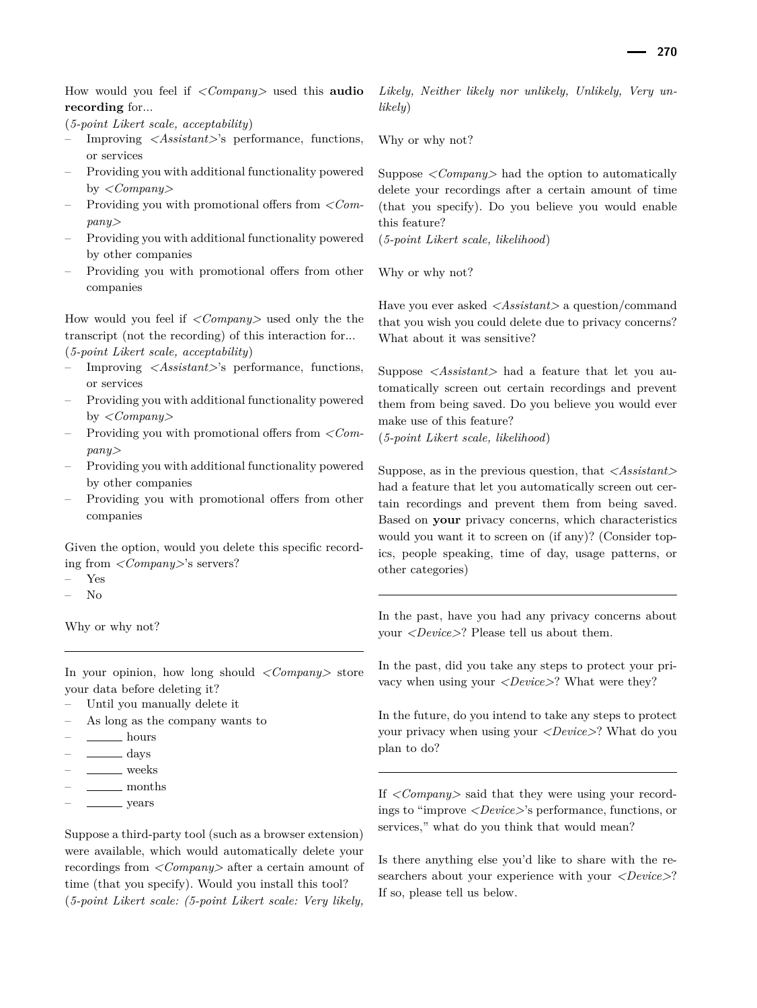How would you feel if *<Company>* used this **audio recording** for...

(*5-point Likert scale, acceptability*)

- Improving *<Assistant>*'s performance, functions, or services
- Providing you with additional functionality powered by *<Company>*
- Providing you with promotional offers from *<Company>*
- Providing you with additional functionality powered by other companies
- Providing you with promotional offers from other companies

How would you feel if *<Company>* used only the the transcript (not the recording) of this interaction for... (*5-point Likert scale, acceptability*)

- Improving *<Assistant>*'s performance, functions, or services
- Providing you with additional functionality powered by *<Company>*
- Providing you with promotional offers from *<Company>*
- Providing you with additional functionality powered by other companies
- Providing you with promotional offers from other companies

Given the option, would you delete this specific recording from *<Company>*'s servers?

- Yes
- No

Why or why not?

In your opinion, how long should *<Company>* store your data before deleting it?

- Until you manually delete it
- As long as the company wants to
- hours
- days
- weeks
- months
- years

Suppose a third-party tool (such as a browser extension) were available, which would automatically delete your recordings from *<Company>* after a certain amount of time (that you specify). Would you install this tool? (*5-point Likert scale: (5-point Likert scale: Very likely,*

*Likely, Neither likely nor unlikely, Unlikely, Very unlikely*)

Why or why not?

Suppose *<Company>* had the option to automatically delete your recordings after a certain amount of time (that you specify). Do you believe you would enable this feature?

(*5-point Likert scale, likelihood*)

Why or why not?

Have you ever asked *<Assistant>* a question/command that you wish you could delete due to privacy concerns? What about it was sensitive?

Suppose *<Assistant>* had a feature that let you automatically screen out certain recordings and prevent them from being saved. Do you believe you would ever make use of this feature?

(*5-point Likert scale, likelihood*)

Suppose, as in the previous question, that *<Assistant>* had a feature that let you automatically screen out certain recordings and prevent them from being saved. Based on **your** privacy concerns, which characteristics would you want it to screen on (if any)? (Consider topics, people speaking, time of day, usage patterns, or other categories)

In the past, have you had any privacy concerns about your *<Device>*? Please tell us about them.

In the past, did you take any steps to protect your privacy when using your *<Device>*? What were they?

In the future, do you intend to take any steps to protect your privacy when using your *<Device>*? What do you plan to do?

If *<Company>* said that they were using your recordings to "improve *<Device>*'s performance, functions, or services," what do you think that would mean?

Is there anything else you'd like to share with the researchers about your experience with your *<Device>*? If so, please tell us below.